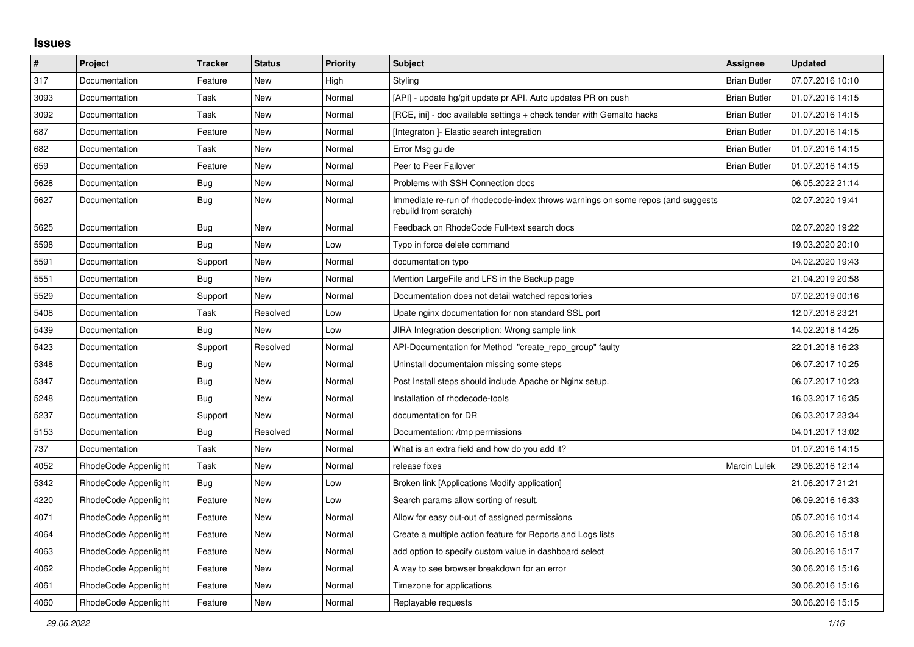## **Issues**

| $\vert$ # | Project              | Tracker    | <b>Status</b> | <b>Priority</b> | <b>Subject</b>                                                                                           | <b>Assignee</b>     | <b>Updated</b>   |
|-----------|----------------------|------------|---------------|-----------------|----------------------------------------------------------------------------------------------------------|---------------------|------------------|
| 317       | Documentation        | Feature    | New           | High            | Styling                                                                                                  | <b>Brian Butler</b> | 07.07.2016 10:10 |
| 3093      | Documentation        | Task       | <b>New</b>    | Normal          | [API] - update hg/git update pr API. Auto updates PR on push                                             | <b>Brian Butler</b> | 01.07.2016 14:15 |
| 3092      | Documentation        | Task       | New           | Normal          | [RCE, ini] - doc available settings + check tender with Gemalto hacks                                    | <b>Brian Butler</b> | 01.07.2016 14:15 |
| 687       | Documentation        | Feature    | New           | Normal          | [Integraton] - Elastic search integration                                                                | <b>Brian Butler</b> | 01.07.2016 14:15 |
| 682       | Documentation        | Task       | New           | Normal          | Error Msg guide                                                                                          | <b>Brian Butler</b> | 01.07.2016 14:15 |
| 659       | Documentation        | Feature    | New           | Normal          | Peer to Peer Failover                                                                                    | <b>Brian Butler</b> | 01.07.2016 14:15 |
| 5628      | Documentation        | Bug        | New           | Normal          | Problems with SSH Connection docs                                                                        |                     | 06.05.2022 21:14 |
| 5627      | Documentation        | Bug        | New           | Normal          | Immediate re-run of rhodecode-index throws warnings on some repos (and suggests<br>rebuild from scratch) |                     | 02.07.2020 19:41 |
| 5625      | Documentation        | <b>Bug</b> | <b>New</b>    | Normal          | Feedback on RhodeCode Full-text search docs                                                              |                     | 02.07.2020 19:22 |
| 5598      | Documentation        | <b>Bug</b> | New           | Low             | Typo in force delete command                                                                             |                     | 19.03.2020 20:10 |
| 5591      | Documentation        | Support    | New           | Normal          | documentation typo                                                                                       |                     | 04.02.2020 19:43 |
| 5551      | Documentation        | Bug        | New           | Normal          | Mention LargeFile and LFS in the Backup page                                                             |                     | 21.04.2019 20:58 |
| 5529      | Documentation        | Support    | <b>New</b>    | Normal          | Documentation does not detail watched repositories                                                       |                     | 07.02.2019 00:16 |
| 5408      | Documentation        | Task       | Resolved      | Low             | Upate nginx documentation for non standard SSL port                                                      |                     | 12.07.2018 23:21 |
| 5439      | Documentation        | Bug        | New           | Low             | JIRA Integration description: Wrong sample link                                                          |                     | 14.02.2018 14:25 |
| 5423      | Documentation        | Support    | Resolved      | Normal          | API-Documentation for Method "create repo group" faulty                                                  |                     | 22.01.2018 16:23 |
| 5348      | Documentation        | Bug        | New           | Normal          | Uninstall documentaion missing some steps                                                                |                     | 06.07.2017 10:25 |
| 5347      | Documentation        | Bug        | New           | Normal          | Post Install steps should include Apache or Nginx setup.                                                 |                     | 06.07.2017 10:23 |
| 5248      | Documentation        | <b>Bug</b> | <b>New</b>    | Normal          | Installation of rhodecode-tools                                                                          |                     | 16.03.2017 16:35 |
| 5237      | Documentation        | Support    | <b>New</b>    | Normal          | documentation for DR                                                                                     |                     | 06.03.2017 23:34 |
| 5153      | Documentation        | Bug        | Resolved      | Normal          | Documentation: /tmp permissions                                                                          |                     | 04.01.2017 13:02 |
| 737       | Documentation        | Task       | New           | Normal          | What is an extra field and how do you add it?                                                            |                     | 01.07.2016 14:15 |
| 4052      | RhodeCode Appenlight | Task       | New           | Normal          | release fixes                                                                                            | <b>Marcin Lulek</b> | 29.06.2016 12:14 |
| 5342      | RhodeCode Appenlight | <b>Bug</b> | <b>New</b>    | Low             | Broken link [Applications Modify application]                                                            |                     | 21.06.2017 21:21 |
| 4220      | RhodeCode Appenlight | Feature    | New           | Low             | Search params allow sorting of result.                                                                   |                     | 06.09.2016 16:33 |
| 4071      | RhodeCode Appenlight | Feature    | New           | Normal          | Allow for easy out-out of assigned permissions                                                           |                     | 05.07.2016 10:14 |
| 4064      | RhodeCode Appenlight | Feature    | New           | Normal          | Create a multiple action feature for Reports and Logs lists                                              |                     | 30.06.2016 15:18 |
| 4063      | RhodeCode Appenlight | Feature    | <b>New</b>    | Normal          | add option to specify custom value in dashboard select                                                   |                     | 30.06.2016 15:17 |
| 4062      | RhodeCode Appenlight | Feature    | <b>New</b>    | Normal          | A way to see browser breakdown for an error                                                              |                     | 30.06.2016 15:16 |
| 4061      | RhodeCode Appenlight | Feature    | New           | Normal          | Timezone for applications                                                                                |                     | 30.06.2016 15:16 |
| 4060      | RhodeCode Appenlight | Feature    | New           | Normal          | Replayable requests                                                                                      |                     | 30.06.2016 15:15 |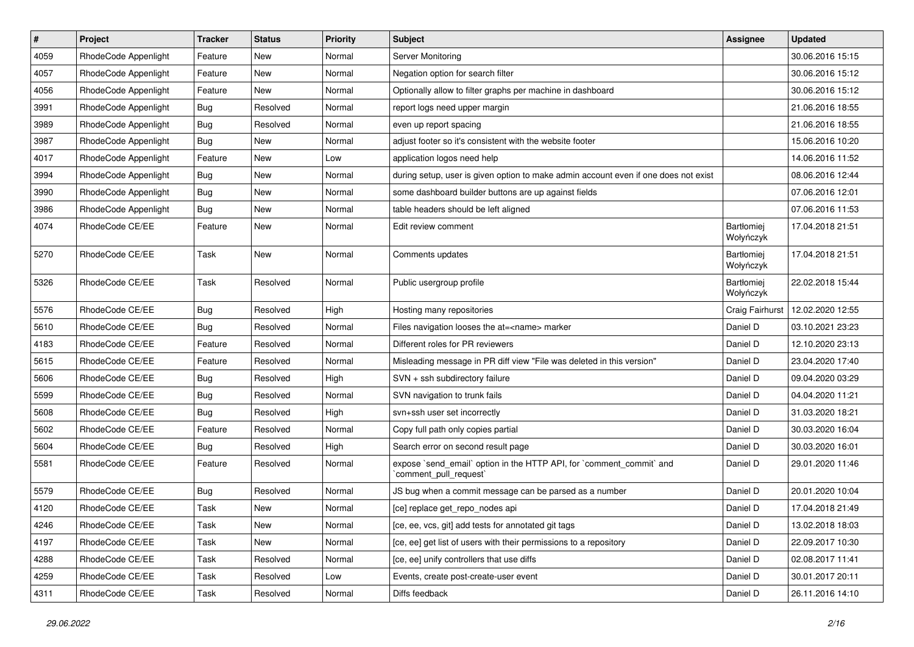| $\vert$ # | Project              | Tracker    | <b>Status</b> | <b>Priority</b> | Subject                                                                                        | Assignee                       | <b>Updated</b>   |
|-----------|----------------------|------------|---------------|-----------------|------------------------------------------------------------------------------------------------|--------------------------------|------------------|
| 4059      | RhodeCode Appenlight | Feature    | New           | Normal          | Server Monitoring                                                                              |                                | 30.06.2016 15:15 |
| 4057      | RhodeCode Appenlight | Feature    | <b>New</b>    | Normal          | Negation option for search filter                                                              |                                | 30.06.2016 15:12 |
| 4056      | RhodeCode Appenlight | Feature    | New           | Normal          | Optionally allow to filter graphs per machine in dashboard                                     |                                | 30.06.2016 15:12 |
| 3991      | RhodeCode Appenlight | Bug        | Resolved      | Normal          | report logs need upper margin                                                                  |                                | 21.06.2016 18:55 |
| 3989      | RhodeCode Appenlight | Bug        | Resolved      | Normal          | even up report spacing                                                                         |                                | 21.06.2016 18:55 |
| 3987      | RhodeCode Appenlight | <b>Bug</b> | New           | Normal          | adjust footer so it's consistent with the website footer                                       |                                | 15.06.2016 10:20 |
| 4017      | RhodeCode Appenlight | Feature    | <b>New</b>    | Low             | application logos need help                                                                    |                                | 14.06.2016 11:52 |
| 3994      | RhodeCode Appenlight | <b>Bug</b> | New           | Normal          | during setup, user is given option to make admin account even if one does not exist            |                                | 08.06.2016 12:44 |
| 3990      | RhodeCode Appenlight | <b>Bug</b> | New           | Normal          | some dashboard builder buttons are up against fields                                           |                                | 07.06.2016 12:01 |
| 3986      | RhodeCode Appenlight | Bug        | New           | Normal          | table headers should be left aligned                                                           |                                | 07.06.2016 11:53 |
| 4074      | RhodeCode CE/EE      | Feature    | New           | Normal          | Edit review comment                                                                            | Bartłomiej<br>Wołyńczyk        | 17.04.2018 21:51 |
| 5270      | RhodeCode CE/EE      | Task       | <b>New</b>    | Normal          | Comments updates                                                                               | <b>Bartłomiej</b><br>Wołyńczyk | 17.04.2018 21:51 |
| 5326      | RhodeCode CE/EE      | Task       | Resolved      | Normal          | Public usergroup profile                                                                       | <b>Bartłomiej</b><br>Wołyńczyk | 22.02.2018 15:44 |
| 5576      | RhodeCode CE/EE      | <b>Bug</b> | Resolved      | High            | Hosting many repositories                                                                      | Craig Fairhurst                | 12.02.2020 12:55 |
| 5610      | RhodeCode CE/EE      | <b>Bug</b> | Resolved      | Normal          | Files navigation looses the at= <name> marker</name>                                           | Daniel D                       | 03.10.2021 23:23 |
| 4183      | RhodeCode CE/EE      | Feature    | Resolved      | Normal          | Different roles for PR reviewers                                                               | Daniel D                       | 12.10.2020 23:13 |
| 5615      | RhodeCode CE/EE      | Feature    | Resolved      | Normal          | Misleading message in PR diff view "File was deleted in this version"                          | Daniel D                       | 23.04.2020 17:40 |
| 5606      | RhodeCode CE/EE      | Bug        | Resolved      | High            | SVN + ssh subdirectory failure                                                                 | Daniel D                       | 09.04.2020 03:29 |
| 5599      | RhodeCode CE/EE      | <b>Bug</b> | Resolved      | Normal          | SVN navigation to trunk fails                                                                  | Daniel D                       | 04.04.2020 11:21 |
| 5608      | RhodeCode CE/EE      | <b>Bug</b> | Resolved      | High            | svn+ssh user set incorrectly                                                                   | Daniel D                       | 31.03.2020 18:21 |
| 5602      | RhodeCode CE/EE      | Feature    | Resolved      | Normal          | Copy full path only copies partial                                                             | Daniel D                       | 30.03.2020 16:04 |
| 5604      | RhodeCode CE/EE      | <b>Bug</b> | Resolved      | High            | Search error on second result page                                                             | Daniel D                       | 30.03.2020 16:01 |
| 5581      | RhodeCode CE/EE      | Feature    | Resolved      | Normal          | expose `send_email` option in the HTTP API, for `comment_commit` and<br>`comment pull request` | Daniel D                       | 29.01.2020 11:46 |
| 5579      | RhodeCode CE/EE      | Bug        | Resolved      | Normal          | JS bug when a commit message can be parsed as a number                                         | Daniel D                       | 20.01.2020 10:04 |
| 4120      | RhodeCode CE/EE      | Task       | New           | Normal          | [ce] replace get_repo_nodes api                                                                | Daniel D                       | 17.04.2018 21:49 |
| 4246      | RhodeCode CE/EE      | Task       | New           | Normal          | [ce, ee, vcs, git] add tests for annotated git tags                                            | Daniel D                       | 13.02.2018 18:03 |
| 4197      | RhodeCode CE/EE      | Task       | New           | Normal          | [ce, ee] get list of users with their permissions to a repository                              | Daniel D                       | 22.09.2017 10:30 |
| 4288      | RhodeCode CE/EE      | Task       | Resolved      | Normal          | [ce, ee] unify controllers that use diffs                                                      | Daniel D                       | 02.08.2017 11:41 |
| 4259      | RhodeCode CE/EE      | Task       | Resolved      | Low             | Events, create post-create-user event                                                          | Daniel D                       | 30.01.2017 20:11 |
| 4311      | RhodeCode CE/EE      | Task       | Resolved      | Normal          | Diffs feedback                                                                                 | Daniel D                       | 26.11.2016 14:10 |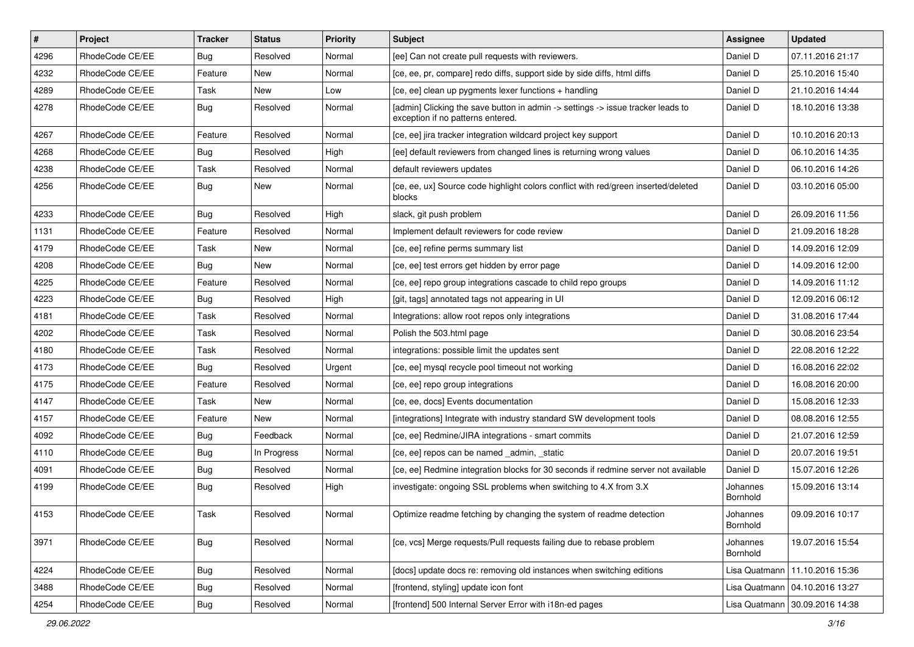| $\vert$ # | Project         | <b>Tracker</b> | <b>Status</b> | <b>Priority</b> | <b>Subject</b>                                                                                                       | <b>Assignee</b>      | <b>Updated</b>                   |
|-----------|-----------------|----------------|---------------|-----------------|----------------------------------------------------------------------------------------------------------------------|----------------------|----------------------------------|
| 4296      | RhodeCode CE/EE | <b>Bug</b>     | Resolved      | Normal          | [ee] Can not create pull requests with reviewers.                                                                    | Daniel D             | 07.11.2016 21:17                 |
| 4232      | RhodeCode CE/EE | Feature        | New           | Normal          | [ce, ee, pr, compare] redo diffs, support side by side diffs, html diffs                                             | Daniel D             | 25.10.2016 15:40                 |
| 4289      | RhodeCode CE/EE | Task           | New           | Low             | [ce, ee] clean up pygments lexer functions + handling                                                                | Daniel D             | 21.10.2016 14:44                 |
| 4278      | RhodeCode CE/EE | Bug            | Resolved      | Normal          | [admin] Clicking the save button in admin -> settings -> issue tracker leads to<br>exception if no patterns entered. | Daniel D             | 18.10.2016 13:38                 |
| 4267      | RhodeCode CE/EE | Feature        | Resolved      | Normal          | [ce, ee] jira tracker integration wildcard project key support                                                       | Daniel D             | 10.10.2016 20:13                 |
| 4268      | RhodeCode CE/EE | Bug            | Resolved      | High            | [ee] default reviewers from changed lines is returning wrong values                                                  | Daniel D             | 06.10.2016 14:35                 |
| 4238      | RhodeCode CE/EE | Task           | Resolved      | Normal          | default reviewers updates                                                                                            | Daniel D             | 06.10.2016 14:26                 |
| 4256      | RhodeCode CE/EE | Bug            | New           | Normal          | [ce, ee, ux] Source code highlight colors conflict with red/green inserted/deleted<br>blocks                         | Daniel D             | 03.10.2016 05:00                 |
| 4233      | RhodeCode CE/EE | Bug            | Resolved      | High            | slack, git push problem                                                                                              | Daniel D             | 26.09.2016 11:56                 |
| 1131      | RhodeCode CE/EE | Feature        | Resolved      | Normal          | Implement default reviewers for code review                                                                          | Daniel D             | 21.09.2016 18:28                 |
| 4179      | RhodeCode CE/EE | Task           | <b>New</b>    | Normal          | [ce, ee] refine perms summary list                                                                                   | Daniel D             | 14.09.2016 12:09                 |
| 4208      | RhodeCode CE/EE | Bug            | New           | Normal          | [ce, ee] test errors get hidden by error page                                                                        | Daniel D             | 14.09.2016 12:00                 |
| 4225      | RhodeCode CE/EE | Feature        | Resolved      | Normal          | [ce, ee] repo group integrations cascade to child repo groups                                                        | Daniel D             | 14.09.2016 11:12                 |
| 4223      | RhodeCode CE/EE | <b>Bug</b>     | Resolved      | High            | [git, tags] annotated tags not appearing in UI                                                                       | Daniel D             | 12.09.2016 06:12                 |
| 4181      | RhodeCode CE/EE | Task           | Resolved      | Normal          | Integrations: allow root repos only integrations                                                                     | Daniel D             | 31.08.2016 17:44                 |
| 4202      | RhodeCode CE/EE | Task           | Resolved      | Normal          | Polish the 503.html page                                                                                             | Daniel D             | 30.08.2016 23:54                 |
| 4180      | RhodeCode CE/EE | Task           | Resolved      | Normal          | integrations: possible limit the updates sent                                                                        | Daniel D             | 22.08.2016 12:22                 |
| 4173      | RhodeCode CE/EE | Bug            | Resolved      | Urgent          | [ce, ee] mysql recycle pool timeout not working                                                                      | Daniel D             | 16.08.2016 22:02                 |
| 4175      | RhodeCode CE/EE | Feature        | Resolved      | Normal          | [ce, ee] repo group integrations                                                                                     | Daniel D             | 16.08.2016 20:00                 |
| 4147      | RhodeCode CE/EE | Task           | New           | Normal          | [ce, ee, docs] Events documentation                                                                                  | Daniel D             | 15.08.2016 12:33                 |
| 4157      | RhodeCode CE/EE | Feature        | New           | Normal          | [integrations] Integrate with industry standard SW development tools                                                 | Daniel D             | 08.08.2016 12:55                 |
| 4092      | RhodeCode CE/EE | Bug            | Feedback      | Normal          | [ce, ee] Redmine/JIRA integrations - smart commits                                                                   | Daniel D             | 21.07.2016 12:59                 |
| 4110      | RhodeCode CE/EE | <b>Bug</b>     | In Progress   | Normal          | [ce, ee] repos can be named _admin, _static                                                                          | Daniel D             | 20.07.2016 19:51                 |
| 4091      | RhodeCode CE/EE | <b>Bug</b>     | Resolved      | Normal          | [ce, ee] Redmine integration blocks for 30 seconds if redmine server not available                                   | Daniel D             | 15.07.2016 12:26                 |
| 4199      | RhodeCode CE/EE | <b>Bug</b>     | Resolved      | High            | investigate: ongoing SSL problems when switching to 4.X from 3.X                                                     | Johannes<br>Bornhold | 15.09.2016 13:14                 |
| 4153      | RhodeCode CE/EE | Task           | Resolved      | Normal          | Optimize readme fetching by changing the system of readme detection                                                  | Johannes<br>Bornhold | 09.09.2016 10:17                 |
| 3971      | RhodeCode CE/EE | <b>Bug</b>     | Resolved      | Normal          | [ce, vcs] Merge requests/Pull requests failing due to rebase problem                                                 | Johannes<br>Bornhold | 19.07.2016 15:54                 |
| 4224      | RhodeCode CE/EE | Bug            | Resolved      | Normal          | [docs] update docs re: removing old instances when switching editions                                                | Lisa Quatmann        | 11.10.2016 15:36                 |
| 3488      | RhodeCode CE/EE | <b>Bug</b>     | Resolved      | Normal          | [frontend, styling] update icon font                                                                                 |                      | Lisa Quatmann   04.10.2016 13:27 |
| 4254      | RhodeCode CE/EE | <b>Bug</b>     | Resolved      | Normal          | [frontend] 500 Internal Server Error with i18n-ed pages                                                              |                      | Lisa Quatmann   30.09.2016 14:38 |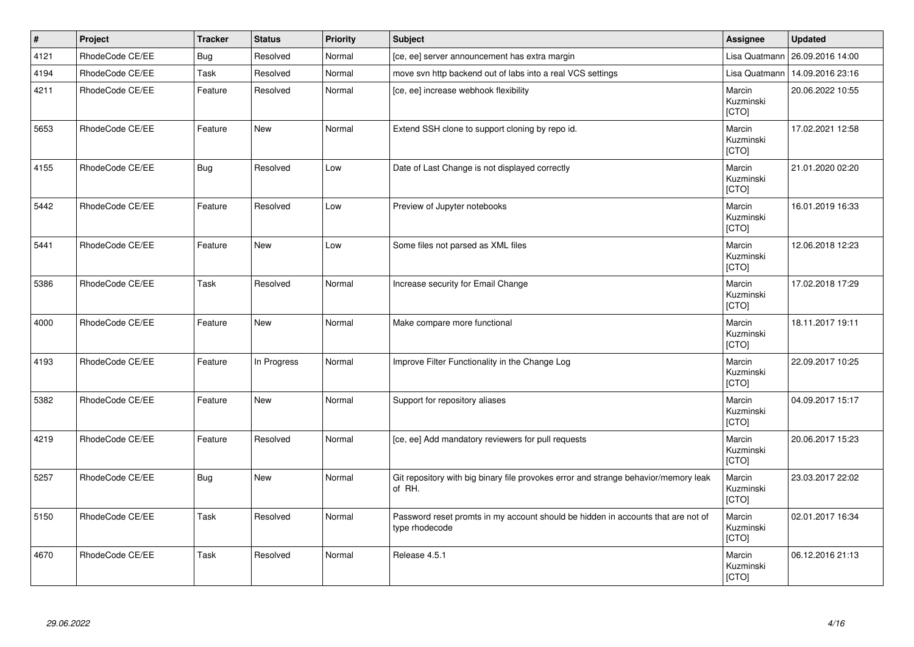| $\vert$ # | Project         | <b>Tracker</b> | <b>Status</b> | <b>Priority</b> | <b>Subject</b>                                                                                     | Assignee                            | <b>Updated</b>   |
|-----------|-----------------|----------------|---------------|-----------------|----------------------------------------------------------------------------------------------------|-------------------------------------|------------------|
| 4121      | RhodeCode CE/EE | Bug            | Resolved      | Normal          | [ce, ee] server announcement has extra margin                                                      | Lisa Quatmann                       | 26.09.2016 14:00 |
| 4194      | RhodeCode CE/EE | <b>Task</b>    | Resolved      | Normal          | move svn http backend out of labs into a real VCS settings                                         | Lisa Quatmann                       | 14.09.2016 23:16 |
| 4211      | RhodeCode CE/EE | Feature        | Resolved      | Normal          | [ce, ee] increase webhook flexibility                                                              | Marcin<br>Kuzminski<br>[CTO]        | 20.06.2022 10:55 |
| 5653      | RhodeCode CE/EE | Feature        | <b>New</b>    | Normal          | Extend SSH clone to support cloning by repo id.                                                    | Marcin<br>Kuzminski<br>[CTO]        | 17.02.2021 12:58 |
| 4155      | RhodeCode CE/EE | <b>Bug</b>     | Resolved      | Low             | Date of Last Change is not displayed correctly                                                     | Marcin<br>Kuzminski<br>[CTO]        | 21.01.2020 02:20 |
| 5442      | RhodeCode CE/EE | Feature        | Resolved      | Low             | Preview of Jupyter notebooks                                                                       | Marcin<br>Kuzminski<br><b>[CTO]</b> | 16.01.2019 16:33 |
| 5441      | RhodeCode CE/EE | Feature        | <b>New</b>    | Low             | Some files not parsed as XML files                                                                 | Marcin<br>Kuzminski<br>[CTO]        | 12.06.2018 12:23 |
| 5386      | RhodeCode CE/EE | Task           | Resolved      | Normal          | Increase security for Email Change                                                                 | Marcin<br>Kuzminski<br>[CTO]        | 17.02.2018 17:29 |
| 4000      | RhodeCode CE/EE | Feature        | <b>New</b>    | Normal          | Make compare more functional                                                                       | Marcin<br>Kuzminski<br>[CTO]        | 18.11.2017 19:11 |
| 4193      | RhodeCode CE/EE | Feature        | In Progress   | Normal          | Improve Filter Functionality in the Change Log                                                     | Marcin<br>Kuzminski<br>[CTO]        | 22.09.2017 10:25 |
| 5382      | RhodeCode CE/EE | Feature        | <b>New</b>    | Normal          | Support for repository aliases                                                                     | Marcin<br>Kuzminski<br>[CTO]        | 04.09.2017 15:17 |
| 4219      | RhodeCode CE/EE | Feature        | Resolved      | Normal          | [ce, ee] Add mandatory reviewers for pull requests                                                 | Marcin<br>Kuzminski<br>[CTO]        | 20.06.2017 15:23 |
| 5257      | RhodeCode CE/EE | <b>Bug</b>     | <b>New</b>    | Normal          | Git repository with big binary file provokes error and strange behavior/memory leak<br>of RH.      | Marcin<br>Kuzminski<br>[CTO]        | 23.03.2017 22:02 |
| 5150      | RhodeCode CE/EE | <b>Task</b>    | Resolved      | Normal          | Password reset promts in my account should be hidden in accounts that are not of<br>type rhodecode | Marcin<br>Kuzminski<br>[CTO]        | 02.01.2017 16:34 |
| 4670      | RhodeCode CE/EE | <b>Task</b>    | Resolved      | Normal          | Release 4.5.1                                                                                      | Marcin<br>Kuzminski<br>[CTO]        | 06.12.2016 21:13 |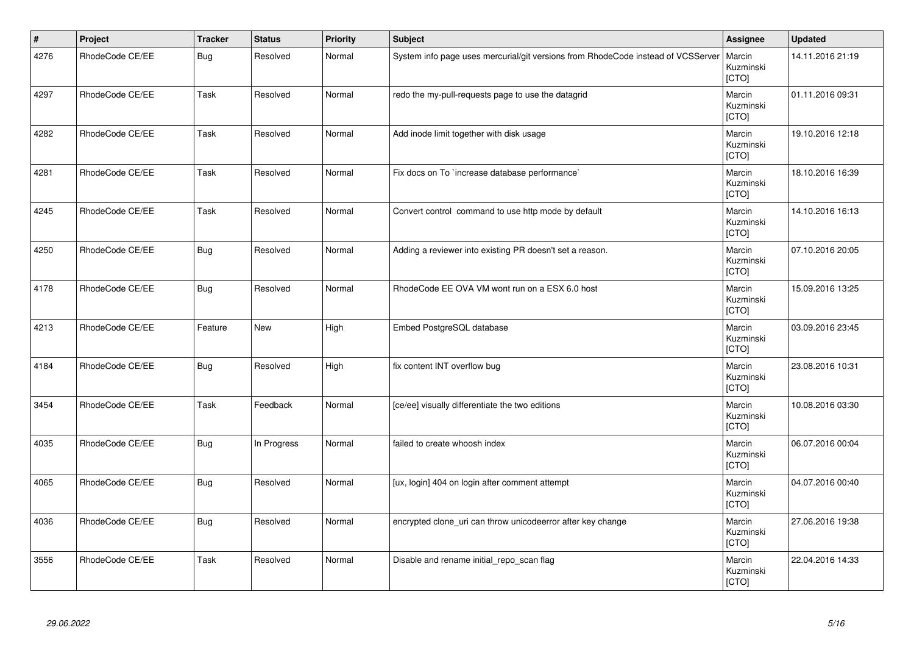| $\vert$ # | Project         | <b>Tracker</b> | <b>Status</b> | <b>Priority</b> | <b>Subject</b>                                                                   | Assignee                     | <b>Updated</b>   |
|-----------|-----------------|----------------|---------------|-----------------|----------------------------------------------------------------------------------|------------------------------|------------------|
| 4276      | RhodeCode CE/EE | <b>Bug</b>     | Resolved      | Normal          | System info page uses mercurial/git versions from RhodeCode instead of VCSServer | Marcin<br>Kuzminski<br>[CTO] | 14.11.2016 21:19 |
| 4297      | RhodeCode CE/EE | Task           | Resolved      | Normal          | redo the my-pull-requests page to use the datagrid                               | Marcin<br>Kuzminski<br>[CTO] | 01.11.2016 09:31 |
| 4282      | RhodeCode CE/EE | Task           | Resolved      | Normal          | Add inode limit together with disk usage                                         | Marcin<br>Kuzminski<br>[CTO] | 19.10.2016 12:18 |
| 4281      | RhodeCode CE/EE | Task           | Resolved      | Normal          | Fix docs on To `increase database performance`                                   | Marcin<br>Kuzminski<br>[CTO] | 18.10.2016 16:39 |
| 4245      | RhodeCode CE/EE | Task           | Resolved      | Normal          | Convert control command to use http mode by default                              | Marcin<br>Kuzminski<br>[CTO] | 14.10.2016 16:13 |
| 4250      | RhodeCode CE/EE | <b>Bug</b>     | Resolved      | Normal          | Adding a reviewer into existing PR doesn't set a reason.                         | Marcin<br>Kuzminski<br>[CTO] | 07.10.2016 20:05 |
| 4178      | RhodeCode CE/EE | <b>Bug</b>     | Resolved      | Normal          | RhodeCode EE OVA VM wont run on a ESX 6.0 host                                   | Marcin<br>Kuzminski<br>[CTO] | 15.09.2016 13:25 |
| 4213      | RhodeCode CE/EE | Feature        | <b>New</b>    | High            | Embed PostgreSQL database                                                        | Marcin<br>Kuzminski<br>[CTO] | 03.09.2016 23:45 |
| 4184      | RhodeCode CE/EE | <b>Bug</b>     | Resolved      | High            | fix content INT overflow bug                                                     | Marcin<br>Kuzminski<br>[CTO] | 23.08.2016 10:31 |
| 3454      | RhodeCode CE/EE | Task           | Feedback      | Normal          | [ce/ee] visually differentiate the two editions                                  | Marcin<br>Kuzminski<br>[CTO] | 10.08.2016 03:30 |
| 4035      | RhodeCode CE/EE | <b>Bug</b>     | In Progress   | Normal          | failed to create whoosh index                                                    | Marcin<br>Kuzminski<br>[CTO] | 06.07.2016 00:04 |
| 4065      | RhodeCode CE/EE | <b>Bug</b>     | Resolved      | Normal          | [ux, login] 404 on login after comment attempt                                   | Marcin<br>Kuzminski<br>[CTO] | 04.07.2016 00:40 |
| 4036      | RhodeCode CE/EE | <b>Bug</b>     | Resolved      | Normal          | encrypted clone_uri can throw unicodeerror after key change                      | Marcin<br>Kuzminski<br>[CTO] | 27.06.2016 19:38 |
| 3556      | RhodeCode CE/EE | Task           | Resolved      | Normal          | Disable and rename initial_repo_scan flag                                        | Marcin<br>Kuzminski<br>[CTO] | 22.04.2016 14:33 |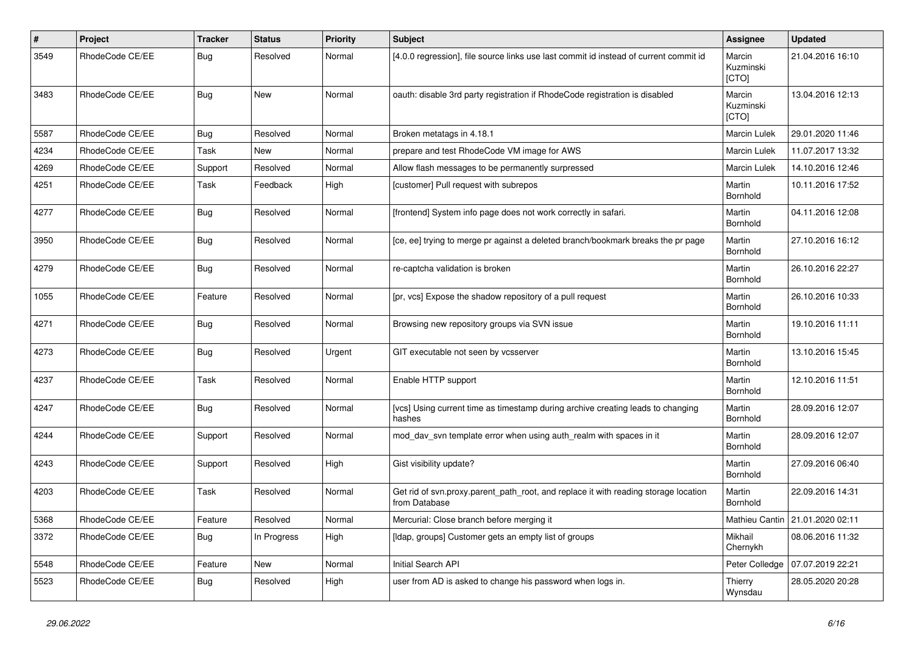| #    | Project         | <b>Tracker</b> | <b>Status</b> | <b>Priority</b> | <b>Subject</b>                                                                                       | <b>Assignee</b>              | <b>Updated</b>                  |
|------|-----------------|----------------|---------------|-----------------|------------------------------------------------------------------------------------------------------|------------------------------|---------------------------------|
| 3549 | RhodeCode CE/EE | Bug            | Resolved      | Normal          | [4.0.0 regression], file source links use last commit id instead of current commit id                | Marcin<br>Kuzminski<br>[CTO] | 21.04.2016 16:10                |
| 3483 | RhodeCode CE/EE | Bug            | New           | Normal          | oauth: disable 3rd party registration if RhodeCode registration is disabled                          | Marcin<br>Kuzminski<br>[CTO] | 13.04.2016 12:13                |
| 5587 | RhodeCode CE/EE | Bug            | Resolved      | Normal          | Broken metatags in 4.18.1                                                                            | Marcin Lulek                 | 29.01.2020 11:46                |
| 4234 | RhodeCode CE/EE | Task           | <b>New</b>    | Normal          | prepare and test RhodeCode VM image for AWS                                                          | <b>Marcin Lulek</b>          | 11.07.2017 13:32                |
| 4269 | RhodeCode CE/EE | Support        | Resolved      | Normal          | Allow flash messages to be permanently surpressed                                                    | Marcin Lulek                 | 14.10.2016 12:46                |
| 4251 | RhodeCode CE/EE | Task           | Feedback      | High            | [customer] Pull request with subrepos                                                                | Martin<br>Bornhold           | 10.11.2016 17:52                |
| 4277 | RhodeCode CE/EE | Bug            | Resolved      | Normal          | [frontend] System info page does not work correctly in safari.                                       | Martin<br>Bornhold           | 04.11.2016 12:08                |
| 3950 | RhodeCode CE/EE | Bug            | Resolved      | Normal          | [ce, ee] trying to merge pr against a deleted branch/bookmark breaks the pr page                     | Martin<br>Bornhold           | 27.10.2016 16:12                |
| 4279 | RhodeCode CE/EE | Bug            | Resolved      | Normal          | re-captcha validation is broken                                                                      | Martin<br>Bornhold           | 26.10.2016 22:27                |
| 1055 | RhodeCode CE/EE | Feature        | Resolved      | Normal          | [pr, vcs] Expose the shadow repository of a pull request                                             | Martin<br>Bornhold           | 26.10.2016 10:33                |
| 4271 | RhodeCode CE/EE | Bug            | Resolved      | Normal          | Browsing new repository groups via SVN issue                                                         | Martin<br>Bornhold           | 19.10.2016 11:11                |
| 4273 | RhodeCode CE/EE | Bug            | Resolved      | Urgent          | GIT executable not seen by vcsserver                                                                 | Martin<br>Bornhold           | 13.10.2016 15:45                |
| 4237 | RhodeCode CE/EE | Task           | Resolved      | Normal          | Enable HTTP support                                                                                  | Martin<br>Bornhold           | 12.10.2016 11:51                |
| 4247 | RhodeCode CE/EE | Bug            | Resolved      | Normal          | [vcs] Using current time as timestamp during archive creating leads to changing<br>hashes            | Martin<br>Bornhold           | 28.09.2016 12:07                |
| 4244 | RhodeCode CE/EE | Support        | Resolved      | Normal          | mod_dav_svn template error when using auth_realm with spaces in it                                   | Martin<br>Bornhold           | 28.09.2016 12:07                |
| 4243 | RhodeCode CE/EE | Support        | Resolved      | High            | Gist visibility update?                                                                              | Martin<br>Bornhold           | 27.09.2016 06:40                |
| 4203 | RhodeCode CE/EE | Task           | Resolved      | Normal          | Get rid of svn.proxy.parent_path_root, and replace it with reading storage location<br>from Database | Martin<br>Bornhold           | 22.09.2016 14:31                |
| 5368 | RhodeCode CE/EE | Feature        | Resolved      | Normal          | Mercurial: Close branch before merging it                                                            |                              | Mathieu Cantin 21.01.2020 02:11 |
| 3372 | RhodeCode CE/EE | <b>Bug</b>     | In Progress   | High            | [Idap, groups] Customer gets an empty list of groups                                                 | Mikhail<br>Chernykh          | 08.06.2016 11:32                |
| 5548 | RhodeCode CE/EE | Feature        | New           | Normal          | Initial Search API                                                                                   | Peter Colledge               | 07.07.2019 22:21                |
| 5523 | RhodeCode CE/EE | Bug            | Resolved      | High            | user from AD is asked to change his password when logs in.                                           | Thierry<br>Wynsdau           | 28.05.2020 20:28                |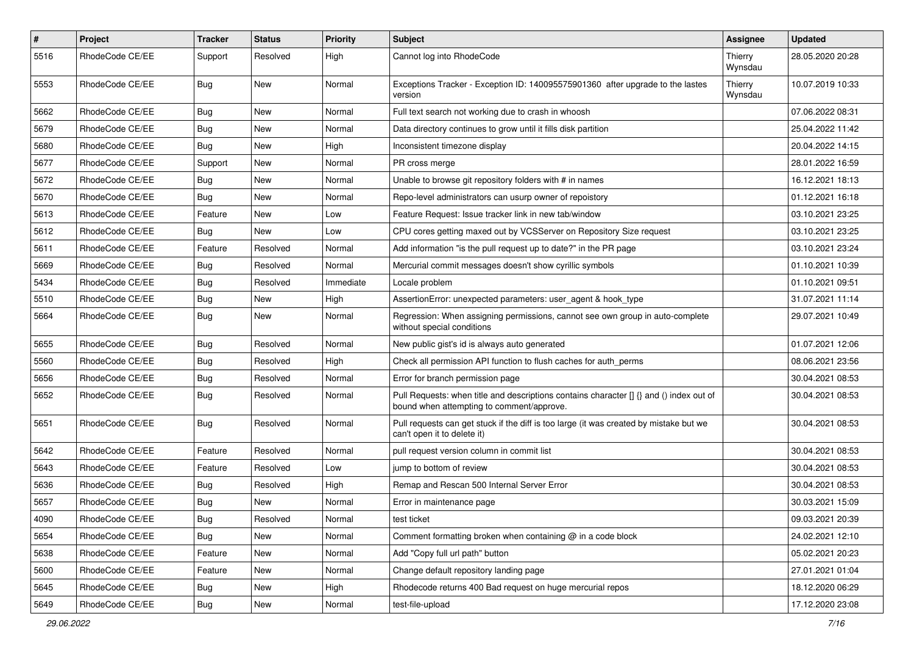| $\#$ | Project         | Tracker    | <b>Status</b> | <b>Priority</b> | <b>Subject</b>                                                                                                                       | Assignee           | <b>Updated</b>   |
|------|-----------------|------------|---------------|-----------------|--------------------------------------------------------------------------------------------------------------------------------------|--------------------|------------------|
| 5516 | RhodeCode CE/EE | Support    | Resolved      | High            | Cannot log into RhodeCode                                                                                                            | Thierry<br>Wynsdau | 28.05.2020 20:28 |
| 5553 | RhodeCode CE/EE | Bug        | New           | Normal          | Exceptions Tracker - Exception ID: 140095575901360 after upgrade to the lastes<br>version                                            | Thierry<br>Wynsdau | 10.07.2019 10:33 |
| 5662 | RhodeCode CE/EE | Bug        | New           | Normal          | Full text search not working due to crash in whoosh                                                                                  |                    | 07.06.2022 08:31 |
| 5679 | RhodeCode CE/EE | <b>Bug</b> | New           | Normal          | Data directory continues to grow until it fills disk partition                                                                       |                    | 25.04.2022 11:42 |
| 5680 | RhodeCode CE/EE | Bug        | New           | High            | Inconsistent timezone display                                                                                                        |                    | 20.04.2022 14:15 |
| 5677 | RhodeCode CE/EE | Support    | New           | Normal          | PR cross merge                                                                                                                       |                    | 28.01.2022 16:59 |
| 5672 | RhodeCode CE/EE | <b>Bug</b> | New           | Normal          | Unable to browse git repository folders with # in names                                                                              |                    | 16.12.2021 18:13 |
| 5670 | RhodeCode CE/EE | Bug        | <b>New</b>    | Normal          | Repo-level administrators can usurp owner of repoistory                                                                              |                    | 01.12.2021 16:18 |
| 5613 | RhodeCode CE/EE | Feature    | New           | Low             | Feature Request: Issue tracker link in new tab/window                                                                                |                    | 03.10.2021 23:25 |
| 5612 | RhodeCode CE/EE | Bug        | New           | Low             | CPU cores getting maxed out by VCSServer on Repository Size request                                                                  |                    | 03.10.2021 23:25 |
| 5611 | RhodeCode CE/EE | Feature    | Resolved      | Normal          | Add information "is the pull request up to date?" in the PR page                                                                     |                    | 03.10.2021 23:24 |
| 5669 | RhodeCode CE/EE | <b>Bug</b> | Resolved      | Normal          | Mercurial commit messages doesn't show cyrillic symbols                                                                              |                    | 01.10.2021 10:39 |
| 5434 | RhodeCode CE/EE | Bug        | Resolved      | Immediate       | Locale problem                                                                                                                       |                    | 01.10.2021 09:51 |
| 5510 | RhodeCode CE/EE | Bug        | New           | High            | AssertionError: unexpected parameters: user_agent & hook_type                                                                        |                    | 31.07.2021 11:14 |
| 5664 | RhodeCode CE/EE | Bug        | New           | Normal          | Regression: When assigning permissions, cannot see own group in auto-complete<br>without special conditions                          |                    | 29.07.2021 10:49 |
| 5655 | RhodeCode CE/EE | <b>Bug</b> | Resolved      | Normal          | New public gist's id is always auto generated                                                                                        |                    | 01.07.2021 12:06 |
| 5560 | RhodeCode CE/EE | <b>Bug</b> | Resolved      | High            | Check all permission API function to flush caches for auth perms                                                                     |                    | 08.06.2021 23:56 |
| 5656 | RhodeCode CE/EE | <b>Bug</b> | Resolved      | Normal          | Error for branch permission page                                                                                                     |                    | 30.04.2021 08:53 |
| 5652 | RhodeCode CE/EE | <b>Bug</b> | Resolved      | Normal          | Pull Requests: when title and descriptions contains character [] {} and () index out of<br>bound when attempting to comment/approve. |                    | 30.04.2021 08:53 |
| 5651 | RhodeCode CE/EE | Bug        | Resolved      | Normal          | Pull requests can get stuck if the diff is too large (it was created by mistake but we<br>can't open it to delete it)                |                    | 30.04.2021 08:53 |
| 5642 | RhodeCode CE/EE | Feature    | Resolved      | Normal          | pull request version column in commit list                                                                                           |                    | 30.04.2021 08:53 |
| 5643 | RhodeCode CE/EE | Feature    | Resolved      | Low             | jump to bottom of review                                                                                                             |                    | 30.04.2021 08:53 |
| 5636 | RhodeCode CE/EE | <b>Bug</b> | Resolved      | High            | Remap and Rescan 500 Internal Server Error                                                                                           |                    | 30.04.2021 08:53 |
| 5657 | RhodeCode CE/EE | Bug        | New           | Normal          | Error in maintenance page                                                                                                            |                    | 30.03.2021 15:09 |
| 4090 | RhodeCode CE/EE | <b>Bug</b> | Resolved      | Normal          | test ticket                                                                                                                          |                    | 09.03.2021 20:39 |
| 5654 | RhodeCode CE/EE | Bug        | New           | Normal          | Comment formatting broken when containing $@$ in a code block                                                                        |                    | 24.02.2021 12:10 |
| 5638 | RhodeCode CE/EE | Feature    | New           | Normal          | Add "Copy full url path" button                                                                                                      |                    | 05.02.2021 20:23 |
| 5600 | RhodeCode CE/EE | Feature    | New           | Normal          | Change default repository landing page                                                                                               |                    | 27.01.2021 01:04 |
| 5645 | RhodeCode CE/EE | <b>Bug</b> | New           | High            | Rhodecode returns 400 Bad request on huge mercurial repos                                                                            |                    | 18.12.2020 06:29 |
| 5649 | RhodeCode CE/EE | <b>Bug</b> | New           | Normal          | test-file-upload                                                                                                                     |                    | 17.12.2020 23:08 |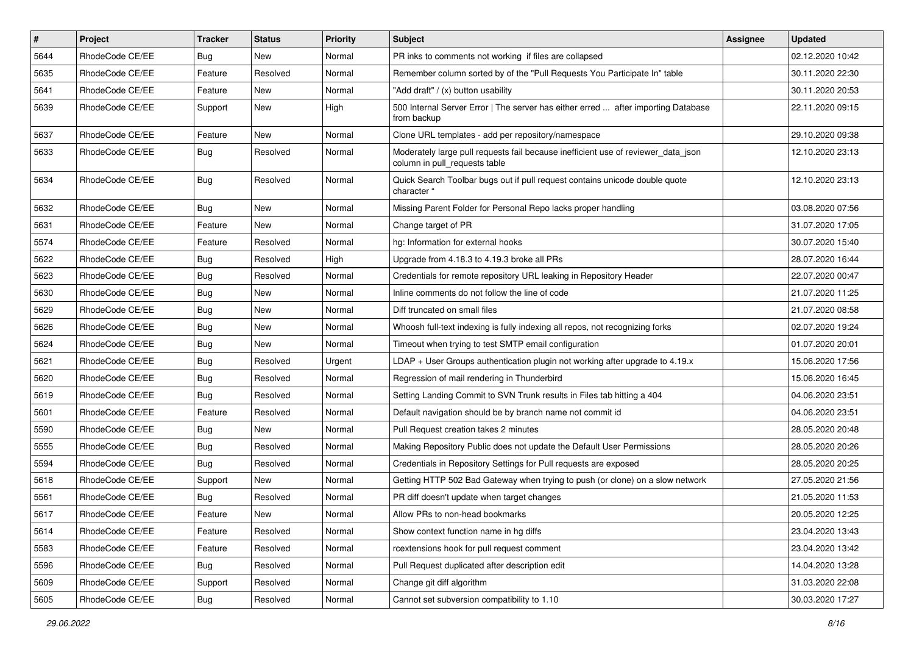| $\sharp$ | Project         | <b>Tracker</b> | <b>Status</b> | <b>Priority</b> | <b>Subject</b>                                                                                                     | <b>Assignee</b> | <b>Updated</b>   |
|----------|-----------------|----------------|---------------|-----------------|--------------------------------------------------------------------------------------------------------------------|-----------------|------------------|
| 5644     | RhodeCode CE/EE | Bug            | New           | Normal          | PR inks to comments not working if files are collapsed                                                             |                 | 02.12.2020 10:42 |
| 5635     | RhodeCode CE/EE | Feature        | Resolved      | Normal          | Remember column sorted by of the "Pull Requests You Participate In" table                                          |                 | 30.11.2020 22:30 |
| 5641     | RhodeCode CE/EE | Feature        | New           | Normal          | "Add draft" / (x) button usability                                                                                 |                 | 30.11.2020 20:53 |
| 5639     | RhodeCode CE/EE | Support        | <b>New</b>    | High            | 500 Internal Server Error   The server has either erred  after importing Database<br>from backup                   |                 | 22.11.2020 09:15 |
| 5637     | RhodeCode CE/EE | Feature        | <b>New</b>    | Normal          | Clone URL templates - add per repository/namespace                                                                 |                 | 29.10.2020 09:38 |
| 5633     | RhodeCode CE/EE | Bug            | Resolved      | Normal          | Moderately large pull requests fail because inefficient use of reviewer_data_json<br>column in pull requests table |                 | 12.10.2020 23:13 |
| 5634     | RhodeCode CE/EE | Bug            | Resolved      | Normal          | Quick Search Toolbar bugs out if pull request contains unicode double quote<br>character "                         |                 | 12.10.2020 23:13 |
| 5632     | RhodeCode CE/EE | Bug            | New           | Normal          | Missing Parent Folder for Personal Repo lacks proper handling                                                      |                 | 03.08.2020 07:56 |
| 5631     | RhodeCode CE/EE | Feature        | <b>New</b>    | Normal          | Change target of PR                                                                                                |                 | 31.07.2020 17:05 |
| 5574     | RhodeCode CE/EE | Feature        | Resolved      | Normal          | hg: Information for external hooks                                                                                 |                 | 30.07.2020 15:40 |
| 5622     | RhodeCode CE/EE | Bug            | Resolved      | High            | Upgrade from 4.18.3 to 4.19.3 broke all PRs                                                                        |                 | 28.07.2020 16:44 |
| 5623     | RhodeCode CE/EE | <b>Bug</b>     | Resolved      | Normal          | Credentials for remote repository URL leaking in Repository Header                                                 |                 | 22.07.2020 00:47 |
| 5630     | RhodeCode CE/EE | Bug            | New           | Normal          | Inline comments do not follow the line of code                                                                     |                 | 21.07.2020 11:25 |
| 5629     | RhodeCode CE/EE | Bug            | New           | Normal          | Diff truncated on small files                                                                                      |                 | 21.07.2020 08:58 |
| 5626     | RhodeCode CE/EE | Bug            | <b>New</b>    | Normal          | Whoosh full-text indexing is fully indexing all repos, not recognizing forks                                       |                 | 02.07.2020 19:24 |
| 5624     | RhodeCode CE/EE | Bug            | New           | Normal          | Timeout when trying to test SMTP email configuration                                                               |                 | 01.07.2020 20:01 |
| 5621     | RhodeCode CE/EE | Bug            | Resolved      | Urgent          | $LDAP + User Groups authentication playing not working after upgrade to 4.19.x$                                    |                 | 15.06.2020 17:56 |
| 5620     | RhodeCode CE/EE | Bug            | Resolved      | Normal          | Regression of mail rendering in Thunderbird                                                                        |                 | 15.06.2020 16:45 |
| 5619     | RhodeCode CE/EE | Bug            | Resolved      | Normal          | Setting Landing Commit to SVN Trunk results in Files tab hitting a 404                                             |                 | 04.06.2020 23:51 |
| 5601     | RhodeCode CE/EE | Feature        | Resolved      | Normal          | Default navigation should be by branch name not commit id                                                          |                 | 04.06.2020 23:51 |
| 5590     | RhodeCode CE/EE | Bug            | New           | Normal          | Pull Request creation takes 2 minutes                                                                              |                 | 28.05.2020 20:48 |
| 5555     | RhodeCode CE/EE | Bug            | Resolved      | Normal          | Making Repository Public does not update the Default User Permissions                                              |                 | 28.05.2020 20:26 |
| 5594     | RhodeCode CE/EE | Bug            | Resolved      | Normal          | Credentials in Repository Settings for Pull requests are exposed                                                   |                 | 28.05.2020 20:25 |
| 5618     | RhodeCode CE/EE | Support        | <b>New</b>    | Normal          | Getting HTTP 502 Bad Gateway when trying to push (or clone) on a slow network                                      |                 | 27.05.2020 21:56 |
| 5561     | RhodeCode CE/EE | Bug            | Resolved      | Normal          | PR diff doesn't update when target changes                                                                         |                 | 21.05.2020 11:53 |
| 5617     | RhodeCode CE/EE | Feature        | New           | Normal          | Allow PRs to non-head bookmarks                                                                                    |                 | 20.05.2020 12:25 |
| 5614     | RhodeCode CE/EE | Feature        | Resolved      | Normal          | Show context function name in hq diffs                                                                             |                 | 23.04.2020 13:43 |
| 5583     | RhodeCode CE/EE | Feature        | Resolved      | Normal          | rcextensions hook for pull request comment                                                                         |                 | 23.04.2020 13:42 |
| 5596     | RhodeCode CE/EE | Bug            | Resolved      | Normal          | Pull Request duplicated after description edit                                                                     |                 | 14.04.2020 13:28 |
| 5609     | RhodeCode CE/EE | Support        | Resolved      | Normal          | Change git diff algorithm                                                                                          |                 | 31.03.2020 22:08 |
| 5605     | RhodeCode CE/EE | Bug            | Resolved      | Normal          | Cannot set subversion compatibility to 1.10                                                                        |                 | 30.03.2020 17:27 |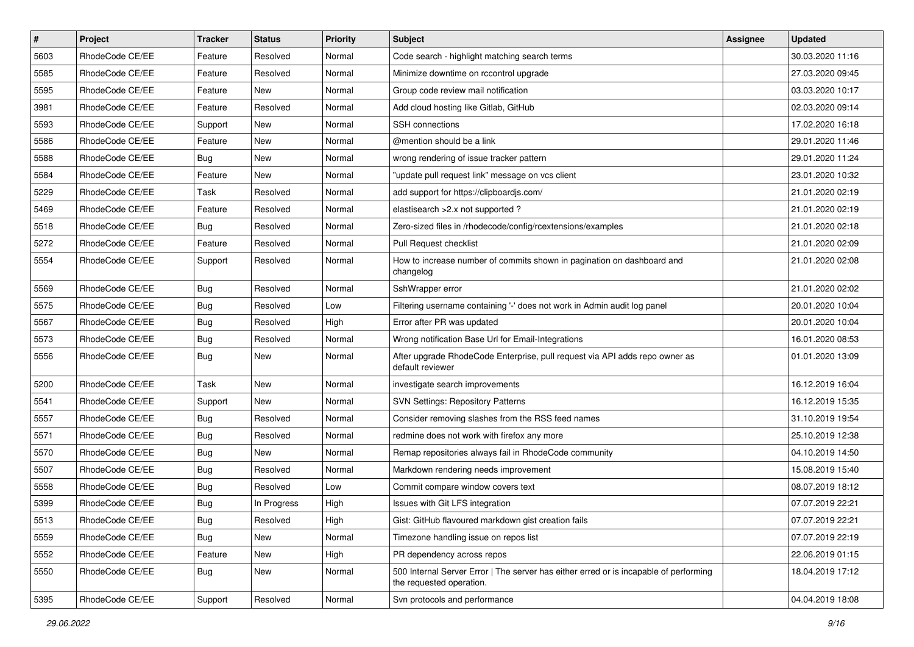| $\vert$ # | Project         | Tracker    | <b>Status</b> | <b>Priority</b> | Subject                                                                                                           | Assignee | <b>Updated</b>   |
|-----------|-----------------|------------|---------------|-----------------|-------------------------------------------------------------------------------------------------------------------|----------|------------------|
| 5603      | RhodeCode CE/EE | Feature    | Resolved      | Normal          | Code search - highlight matching search terms                                                                     |          | 30.03.2020 11:16 |
| 5585      | RhodeCode CE/EE | Feature    | Resolved      | Normal          | Minimize downtime on rccontrol upgrade                                                                            |          | 27.03.2020 09:45 |
| 5595      | RhodeCode CE/EE | Feature    | New           | Normal          | Group code review mail notification                                                                               |          | 03.03.2020 10:17 |
| 3981      | RhodeCode CE/EE | Feature    | Resolved      | Normal          | Add cloud hosting like Gitlab, GitHub                                                                             |          | 02.03.2020 09:14 |
| 5593      | RhodeCode CE/EE | Support    | New           | Normal          | <b>SSH</b> connections                                                                                            |          | 17.02.2020 16:18 |
| 5586      | RhodeCode CE/EE | Feature    | New           | Normal          | @mention should be a link                                                                                         |          | 29.01.2020 11:46 |
| 5588      | RhodeCode CE/EE | <b>Bug</b> | New           | Normal          | wrong rendering of issue tracker pattern                                                                          |          | 29.01.2020 11:24 |
| 5584      | RhodeCode CE/EE | Feature    | New           | Normal          | "update pull request link" message on vcs client                                                                  |          | 23.01.2020 10:32 |
| 5229      | RhodeCode CE/EE | Task       | Resolved      | Normal          | add support for https://clipboardjs.com/                                                                          |          | 21.01.2020 02:19 |
| 5469      | RhodeCode CE/EE | Feature    | Resolved      | Normal          | elastisearch > 2.x not supported?                                                                                 |          | 21.01.2020 02:19 |
| 5518      | RhodeCode CE/EE | <b>Bug</b> | Resolved      | Normal          | Zero-sized files in /rhodecode/config/rcextensions/examples                                                       |          | 21.01.2020 02:18 |
| 5272      | RhodeCode CE/EE | Feature    | Resolved      | Normal          | Pull Request checklist                                                                                            |          | 21.01.2020 02:09 |
| 5554      | RhodeCode CE/EE | Support    | Resolved      | Normal          | How to increase number of commits shown in pagination on dashboard and<br>changelog                               |          | 21.01.2020 02:08 |
| 5569      | RhodeCode CE/EE | <b>Bug</b> | Resolved      | Normal          | SshWrapper error                                                                                                  |          | 21.01.2020 02:02 |
| 5575      | RhodeCode CE/EE | <b>Bug</b> | Resolved      | Low             | Filtering username containing '-' does not work in Admin audit log panel                                          |          | 20.01.2020 10:04 |
| 5567      | RhodeCode CE/EE | <b>Bug</b> | Resolved      | High            | Error after PR was updated                                                                                        |          | 20.01.2020 10:04 |
| 5573      | RhodeCode CE/EE | <b>Bug</b> | Resolved      | Normal          | Wrong notification Base Url for Email-Integrations                                                                |          | 16.01.2020 08:53 |
| 5556      | RhodeCode CE/EE | <b>Bug</b> | New           | Normal          | After upgrade RhodeCode Enterprise, pull request via API adds repo owner as<br>default reviewer                   |          | 01.01.2020 13:09 |
| 5200      | RhodeCode CE/EE | Task       | <b>New</b>    | Normal          | investigate search improvements                                                                                   |          | 16.12.2019 16:04 |
| 5541      | RhodeCode CE/EE | Support    | New           | Normal          | <b>SVN Settings: Repository Patterns</b>                                                                          |          | 16.12.2019 15:35 |
| 5557      | RhodeCode CE/EE | Bug        | Resolved      | Normal          | Consider removing slashes from the RSS feed names                                                                 |          | 31.10.2019 19:54 |
| 5571      | RhodeCode CE/EE | <b>Bug</b> | Resolved      | Normal          | redmine does not work with firefox any more                                                                       |          | 25.10.2019 12:38 |
| 5570      | RhodeCode CE/EE | <b>Bug</b> | New           | Normal          | Remap repositories always fail in RhodeCode community                                                             |          | 04.10.2019 14:50 |
| 5507      | RhodeCode CE/EE | <b>Bug</b> | Resolved      | Normal          | Markdown rendering needs improvement                                                                              |          | 15.08.2019 15:40 |
| 5558      | RhodeCode CE/EE | <b>Bug</b> | Resolved      | Low             | Commit compare window covers text                                                                                 |          | 08.07.2019 18:12 |
| 5399      | RhodeCode CE/EE | <b>Bug</b> | In Progress   | High            | Issues with Git LFS integration                                                                                   |          | 07.07.2019 22:21 |
| 5513      | RhodeCode CE/EE | Bug        | Resolved      | High            | Gist: GitHub flavoured markdown gist creation fails                                                               |          | 07.07.2019 22:21 |
| 5559      | RhodeCode CE/EE | Bug        | New           | Normal          | Timezone handling issue on repos list                                                                             |          | 07.07.2019 22:19 |
| 5552      | RhodeCode CE/EE | Feature    | New           | High            | PR dependency across repos                                                                                        |          | 22.06.2019 01:15 |
| 5550      | RhodeCode CE/EE | <b>Bug</b> | New           | Normal          | 500 Internal Server Error   The server has either erred or is incapable of performing<br>the requested operation. |          | 18.04.2019 17:12 |
| 5395      | RhodeCode CE/EE | Support    | Resolved      | Normal          | Svn protocols and performance                                                                                     |          | 04.04.2019 18:08 |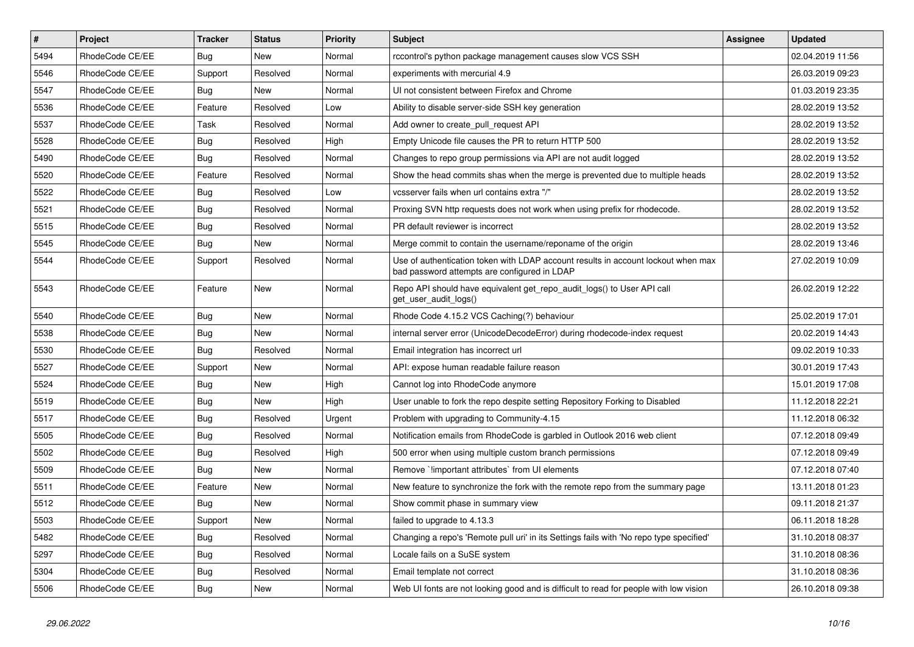| $\vert$ # | Project         | <b>Tracker</b> | <b>Status</b> | <b>Priority</b> | <b>Subject</b>                                                                                                                    | <b>Assignee</b> | <b>Updated</b>   |
|-----------|-----------------|----------------|---------------|-----------------|-----------------------------------------------------------------------------------------------------------------------------------|-----------------|------------------|
| 5494      | RhodeCode CE/EE | <b>Bug</b>     | <b>New</b>    | Normal          | rccontrol's python package management causes slow VCS SSH                                                                         |                 | 02.04.2019 11:56 |
| 5546      | RhodeCode CE/EE | Support        | Resolved      | Normal          | experiments with mercurial 4.9                                                                                                    |                 | 26.03.2019 09:23 |
| 5547      | RhodeCode CE/EE | Bug            | New           | Normal          | UI not consistent between Firefox and Chrome                                                                                      |                 | 01.03.2019 23:35 |
| 5536      | RhodeCode CE/EE | Feature        | Resolved      | Low             | Ability to disable server-side SSH key generation                                                                                 |                 | 28.02.2019 13:52 |
| 5537      | RhodeCode CE/EE | Task           | Resolved      | Normal          | Add owner to create pull request API                                                                                              |                 | 28.02.2019 13:52 |
| 5528      | RhodeCode CE/EE | <b>Bug</b>     | Resolved      | High            | Empty Unicode file causes the PR to return HTTP 500                                                                               |                 | 28.02.2019 13:52 |
| 5490      | RhodeCode CE/EE | Bug            | Resolved      | Normal          | Changes to repo group permissions via API are not audit logged                                                                    |                 | 28.02.2019 13:52 |
| 5520      | RhodeCode CE/EE | Feature        | Resolved      | Normal          | Show the head commits shas when the merge is prevented due to multiple heads                                                      |                 | 28.02.2019 13:52 |
| 5522      | RhodeCode CE/EE | Bug            | Resolved      | Low             | vcsserver fails when url contains extra "/"                                                                                       |                 | 28.02.2019 13:52 |
| 5521      | RhodeCode CE/EE | Bug            | Resolved      | Normal          | Proxing SVN http requests does not work when using prefix for rhodecode.                                                          |                 | 28.02.2019 13:52 |
| 5515      | RhodeCode CE/EE | <b>Bug</b>     | Resolved      | Normal          | PR default reviewer is incorrect                                                                                                  |                 | 28.02.2019 13:52 |
| 5545      | RhodeCode CE/EE | Bug            | New           | Normal          | Merge commit to contain the username/reponame of the origin                                                                       |                 | 28.02.2019 13:46 |
| 5544      | RhodeCode CE/EE | Support        | Resolved      | Normal          | Use of authentication token with LDAP account results in account lockout when max<br>bad password attempts are configured in LDAP |                 | 27.02.2019 10:09 |
| 5543      | RhodeCode CE/EE | Feature        | New           | Normal          | Repo API should have equivalent get repo audit logs() to User API call<br>get_user_audit_logs()                                   |                 | 26.02.2019 12:22 |
| 5540      | RhodeCode CE/EE | <b>Bug</b>     | <b>New</b>    | Normal          | Rhode Code 4.15.2 VCS Caching(?) behaviour                                                                                        |                 | 25.02.2019 17:01 |
| 5538      | RhodeCode CE/EE | <b>Bug</b>     | New           | Normal          | internal server error (UnicodeDecodeError) during rhodecode-index request                                                         |                 | 20.02.2019 14:43 |
| 5530      | RhodeCode CE/EE | Bug            | Resolved      | Normal          | Email integration has incorrect url                                                                                               |                 | 09.02.2019 10:33 |
| 5527      | RhodeCode CE/EE | Support        | New           | Normal          | API: expose human readable failure reason                                                                                         |                 | 30.01.2019 17:43 |
| 5524      | RhodeCode CE/EE | Bug            | <b>New</b>    | High            | Cannot log into RhodeCode anymore                                                                                                 |                 | 15.01.2019 17:08 |
| 5519      | RhodeCode CE/EE | Bug            | <b>New</b>    | High            | User unable to fork the repo despite setting Repository Forking to Disabled                                                       |                 | 11.12.2018 22:21 |
| 5517      | RhodeCode CE/EE | <b>Bug</b>     | Resolved      | Urgent          | Problem with upgrading to Community-4.15                                                                                          |                 | 11.12.2018 06:32 |
| 5505      | RhodeCode CE/EE | Bug            | Resolved      | Normal          | Notification emails from RhodeCode is garbled in Outlook 2016 web client                                                          |                 | 07.12.2018 09:49 |
| 5502      | RhodeCode CE/EE | <b>Bug</b>     | Resolved      | High            | 500 error when using multiple custom branch permissions                                                                           |                 | 07.12.2018 09:49 |
| 5509      | RhodeCode CE/EE | Bug            | New           | Normal          | Remove `limportant attributes` from UI elements                                                                                   |                 | 07.12.2018 07:40 |
| 5511      | RhodeCode CE/EE | Feature        | <b>New</b>    | Normal          | New feature to synchronize the fork with the remote repo from the summary page                                                    |                 | 13.11.2018 01:23 |
| 5512      | RhodeCode CE/EE | <b>Bug</b>     | New           | Normal          | Show commit phase in summary view                                                                                                 |                 | 09.11.2018 21:37 |
| 5503      | RhodeCode CE/EE | Support        | <b>New</b>    | Normal          | failed to upgrade to 4.13.3                                                                                                       |                 | 06.11.2018 18:28 |
| 5482      | RhodeCode CE/EE | <b>Bug</b>     | Resolved      | Normal          | Changing a repo's 'Remote pull uri' in its Settings fails with 'No repo type specified'                                           |                 | 31.10.2018 08:37 |
| 5297      | RhodeCode CE/EE | <b>Bug</b>     | Resolved      | Normal          | Locale fails on a SuSE system                                                                                                     |                 | 31.10.2018 08:36 |
| 5304      | RhodeCode CE/EE | Bug            | Resolved      | Normal          | Email template not correct                                                                                                        |                 | 31.10.2018 08:36 |
| 5506      | RhodeCode CE/EE | Bug            | New           | Normal          | Web UI fonts are not looking good and is difficult to read for people with low vision                                             |                 | 26.10.2018 09:38 |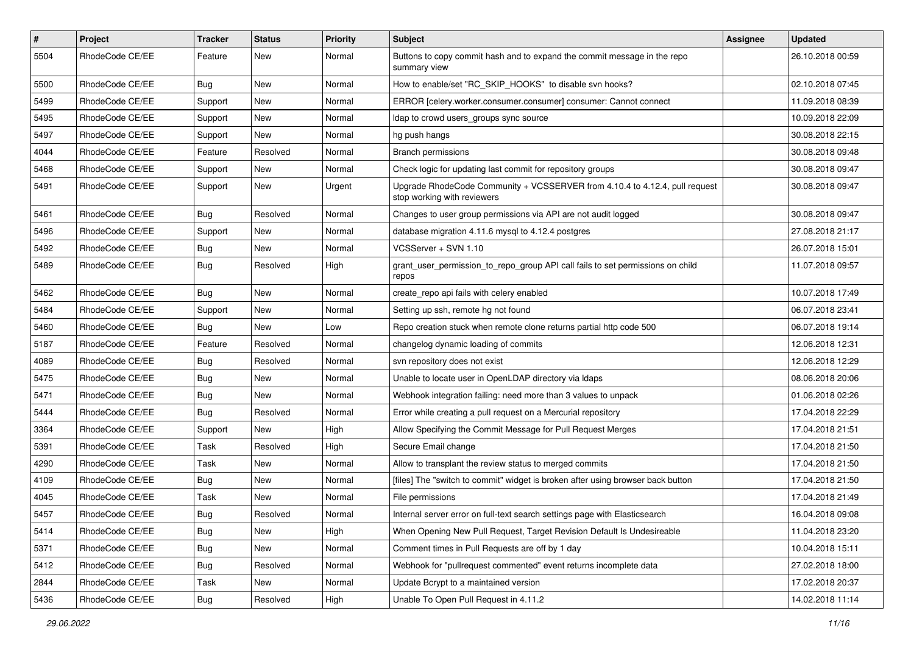| $\vert$ # | Project         | Tracker    | <b>Status</b> | <b>Priority</b> | Subject                                                                                                    | Assignee | <b>Updated</b>   |
|-----------|-----------------|------------|---------------|-----------------|------------------------------------------------------------------------------------------------------------|----------|------------------|
| 5504      | RhodeCode CE/EE | Feature    | New           | Normal          | Buttons to copy commit hash and to expand the commit message in the repo<br>summary view                   |          | 26.10.2018 00:59 |
| 5500      | RhodeCode CE/EE | Bug        | New           | Normal          | How to enable/set "RC_SKIP_HOOKS" to disable svn hooks?                                                    |          | 02.10.2018 07:45 |
| 5499      | RhodeCode CE/EE | Support    | New           | Normal          | ERROR [celery.worker.consumer.consumer] consumer: Cannot connect                                           |          | 11.09.2018 08:39 |
| 5495      | RhodeCode CE/EE | Support    | New           | Normal          | Idap to crowd users_groups sync source                                                                     |          | 10.09.2018 22:09 |
| 5497      | RhodeCode CE/EE | Support    | New           | Normal          | hg push hangs                                                                                              |          | 30.08.2018 22:15 |
| 4044      | RhodeCode CE/EE | Feature    | Resolved      | Normal          | <b>Branch permissions</b>                                                                                  |          | 30.08.2018 09:48 |
| 5468      | RhodeCode CE/EE | Support    | New           | Normal          | Check logic for updating last commit for repository groups                                                 |          | 30.08.2018 09:47 |
| 5491      | RhodeCode CE/EE | Support    | New           | Urgent          | Upgrade RhodeCode Community + VCSSERVER from 4.10.4 to 4.12.4, pull request<br>stop working with reviewers |          | 30.08.2018 09:47 |
| 5461      | RhodeCode CE/EE | Bug        | Resolved      | Normal          | Changes to user group permissions via API are not audit logged                                             |          | 30.08.2018 09:47 |
| 5496      | RhodeCode CE/EE | Support    | New           | Normal          | database migration 4.11.6 mysql to 4.12.4 postgres                                                         |          | 27.08.2018 21:17 |
| 5492      | RhodeCode CE/EE | <b>Bug</b> | New           | Normal          | VCSServer + SVN 1.10                                                                                       |          | 26.07.2018 15:01 |
| 5489      | RhodeCode CE/EE | <b>Bug</b> | Resolved      | High            | grant_user_permission_to_repo_group API call fails to set permissions on child<br>repos                    |          | 11.07.2018 09:57 |
| 5462      | RhodeCode CE/EE | Bug        | New           | Normal          | create repo api fails with celery enabled                                                                  |          | 10.07.2018 17:49 |
| 5484      | RhodeCode CE/EE | Support    | New           | Normal          | Setting up ssh, remote hg not found                                                                        |          | 06.07.2018 23:41 |
| 5460      | RhodeCode CE/EE | Bug        | New           | Low             | Repo creation stuck when remote clone returns partial http code 500                                        |          | 06.07.2018 19:14 |
| 5187      | RhodeCode CE/EE | Feature    | Resolved      | Normal          | changelog dynamic loading of commits                                                                       |          | 12.06.2018 12:31 |
| 4089      | RhodeCode CE/EE | <b>Bug</b> | Resolved      | Normal          | svn repository does not exist                                                                              |          | 12.06.2018 12:29 |
| 5475      | RhodeCode CE/EE | <b>Bug</b> | New           | Normal          | Unable to locate user in OpenLDAP directory via Idaps                                                      |          | 08.06.2018 20:06 |
| 5471      | RhodeCode CE/EE | <b>Bug</b> | New           | Normal          | Webhook integration failing: need more than 3 values to unpack                                             |          | 01.06.2018 02:26 |
| 5444      | RhodeCode CE/EE | Bug        | Resolved      | Normal          | Error while creating a pull request on a Mercurial repository                                              |          | 17.04.2018 22:29 |
| 3364      | RhodeCode CE/EE | Support    | New           | High            | Allow Specifying the Commit Message for Pull Request Merges                                                |          | 17.04.2018 21:51 |
| 5391      | RhodeCode CE/EE | Task       | Resolved      | High            | Secure Email change                                                                                        |          | 17.04.2018 21:50 |
| 4290      | RhodeCode CE/EE | Task       | New           | Normal          | Allow to transplant the review status to merged commits                                                    |          | 17.04.2018 21:50 |
| 4109      | RhodeCode CE/EE | <b>Bug</b> | New           | Normal          | [files] The "switch to commit" widget is broken after using browser back button                            |          | 17.04.2018 21:50 |
| 4045      | RhodeCode CE/EE | Task       | New           | Normal          | File permissions                                                                                           |          | 17.04.2018 21:49 |
| 5457      | RhodeCode CE/EE | Bug        | Resolved      | Normal          | Internal server error on full-text search settings page with Elasticsearch                                 |          | 16.04.2018 09:08 |
| 5414      | RhodeCode CE/EE | <b>Bug</b> | New           | High            | When Opening New Pull Request, Target Revision Default Is Undesireable                                     |          | 11.04.2018 23:20 |
| 5371      | RhodeCode CE/EE | Bug        | New           | Normal          | Comment times in Pull Requests are off by 1 day                                                            |          | 10.04.2018 15:11 |
| 5412      | RhodeCode CE/EE | <b>Bug</b> | Resolved      | Normal          | Webhook for "pullrequest commented" event returns incomplete data                                          |          | 27.02.2018 18:00 |
| 2844      | RhodeCode CE/EE | Task       | New           | Normal          | Update Bcrypt to a maintained version                                                                      |          | 17.02.2018 20:37 |
| 5436      | RhodeCode CE/EE | Bug        | Resolved      | High            | Unable To Open Pull Request in 4.11.2                                                                      |          | 14.02.2018 11:14 |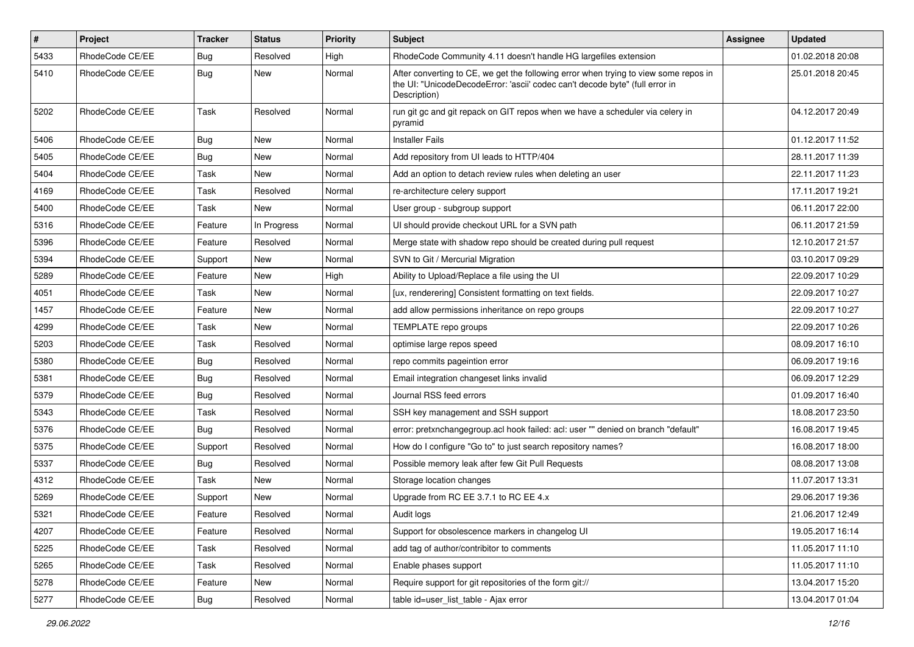| $\vert$ # | <b>Project</b>  | <b>Tracker</b> | <b>Status</b> | <b>Priority</b> | <b>Subject</b>                                                                                                                                                                       | Assignee | <b>Updated</b>   |
|-----------|-----------------|----------------|---------------|-----------------|--------------------------------------------------------------------------------------------------------------------------------------------------------------------------------------|----------|------------------|
| 5433      | RhodeCode CE/EE | <b>Bug</b>     | Resolved      | High            | RhodeCode Community 4.11 doesn't handle HG largefiles extension                                                                                                                      |          | 01.02.2018 20:08 |
| 5410      | RhodeCode CE/EE | <b>Bug</b>     | New           | Normal          | After converting to CE, we get the following error when trying to view some repos in<br>the UI: "UnicodeDecodeError: 'ascii' codec can't decode byte" (full error in<br>Description) |          | 25.01.2018 20:45 |
| 5202      | RhodeCode CE/EE | Task           | Resolved      | Normal          | run git gc and git repack on GIT repos when we have a scheduler via celery in<br>pyramid                                                                                             |          | 04.12.2017 20:49 |
| 5406      | RhodeCode CE/EE | Bug            | New           | Normal          | <b>Installer Fails</b>                                                                                                                                                               |          | 01.12.2017 11:52 |
| 5405      | RhodeCode CE/EE | Bug            | <b>New</b>    | Normal          | Add repository from UI leads to HTTP/404                                                                                                                                             |          | 28.11.2017 11:39 |
| 5404      | RhodeCode CE/EE | Task           | <b>New</b>    | Normal          | Add an option to detach review rules when deleting an user                                                                                                                           |          | 22.11.2017 11:23 |
| 4169      | RhodeCode CE/EE | Task           | Resolved      | Normal          | re-architecture celery support                                                                                                                                                       |          | 17.11.2017 19:21 |
| 5400      | RhodeCode CE/EE | Task           | New           | Normal          | User group - subgroup support                                                                                                                                                        |          | 06.11.2017 22:00 |
| 5316      | RhodeCode CE/EE | Feature        | In Progress   | Normal          | UI should provide checkout URL for a SVN path                                                                                                                                        |          | 06.11.2017 21:59 |
| 5396      | RhodeCode CE/EE | Feature        | Resolved      | Normal          | Merge state with shadow repo should be created during pull request                                                                                                                   |          | 12.10.2017 21:57 |
| 5394      | RhodeCode CE/EE | Support        | New           | Normal          | SVN to Git / Mercurial Migration                                                                                                                                                     |          | 03.10.2017 09:29 |
| 5289      | RhodeCode CE/EE | Feature        | <b>New</b>    | High            | Ability to Upload/Replace a file using the UI                                                                                                                                        |          | 22.09.2017 10:29 |
| 4051      | RhodeCode CE/EE | Task           | New           | Normal          | [ux, renderering] Consistent formatting on text fields.                                                                                                                              |          | 22.09.2017 10:27 |
| 1457      | RhodeCode CE/EE | Feature        | <b>New</b>    | Normal          | add allow permissions inheritance on repo groups                                                                                                                                     |          | 22.09.2017 10:27 |
| 4299      | RhodeCode CE/EE | Task           | <b>New</b>    | Normal          | TEMPLATE repo groups                                                                                                                                                                 |          | 22.09.2017 10:26 |
| 5203      | RhodeCode CE/EE | Task           | Resolved      | Normal          | optimise large repos speed                                                                                                                                                           |          | 08.09.2017 16:10 |
| 5380      | RhodeCode CE/EE | Bug            | Resolved      | Normal          | repo commits pageintion error                                                                                                                                                        |          | 06.09.2017 19:16 |
| 5381      | RhodeCode CE/EE | Bug            | Resolved      | Normal          | Email integration changeset links invalid                                                                                                                                            |          | 06.09.2017 12:29 |
| 5379      | RhodeCode CE/EE | <b>Bug</b>     | Resolved      | Normal          | Journal RSS feed errors                                                                                                                                                              |          | 01.09.2017 16:40 |
| 5343      | RhodeCode CE/EE | Task           | Resolved      | Normal          | SSH key management and SSH support                                                                                                                                                   |          | 18.08.2017 23:50 |
| 5376      | RhodeCode CE/EE | Bug            | Resolved      | Normal          | error: pretxnchangegroup.acl hook failed: acl: user "" denied on branch "default"                                                                                                    |          | 16.08.2017 19:45 |
| 5375      | RhodeCode CE/EE | Support        | Resolved      | Normal          | How do I configure "Go to" to just search repository names?                                                                                                                          |          | 16.08.2017 18:00 |
| 5337      | RhodeCode CE/EE | Bug            | Resolved      | Normal          | Possible memory leak after few Git Pull Requests                                                                                                                                     |          | 08.08.2017 13:08 |
| 4312      | RhodeCode CE/EE | Task           | New           | Normal          | Storage location changes                                                                                                                                                             |          | 11.07.2017 13:31 |
| 5269      | RhodeCode CE/EE | Support        | New           | Normal          | Upgrade from RC EE 3.7.1 to RC EE 4.x                                                                                                                                                |          | 29.06.2017 19:36 |
| 5321      | RhodeCode CE/EE | Feature        | Resolved      | Normal          | Audit logs                                                                                                                                                                           |          | 21.06.2017 12:49 |
| 4207      | RhodeCode CE/EE | Feature        | Resolved      | Normal          | Support for obsolescence markers in changelog UI                                                                                                                                     |          | 19.05.2017 16:14 |
| 5225      | RhodeCode CE/EE | Task           | Resolved      | Normal          | add tag of author/contribitor to comments                                                                                                                                            |          | 11.05.2017 11:10 |
| 5265      | RhodeCode CE/EE | Task           | Resolved      | Normal          | Enable phases support                                                                                                                                                                |          | 11.05.2017 11:10 |
| 5278      | RhodeCode CE/EE | Feature        | New           | Normal          | Require support for git repositories of the form git://                                                                                                                              |          | 13.04.2017 15:20 |
| 5277      | RhodeCode CE/EE | <b>Bug</b>     | Resolved      | Normal          | table id=user list table - Ajax error                                                                                                                                                |          | 13.04.2017 01:04 |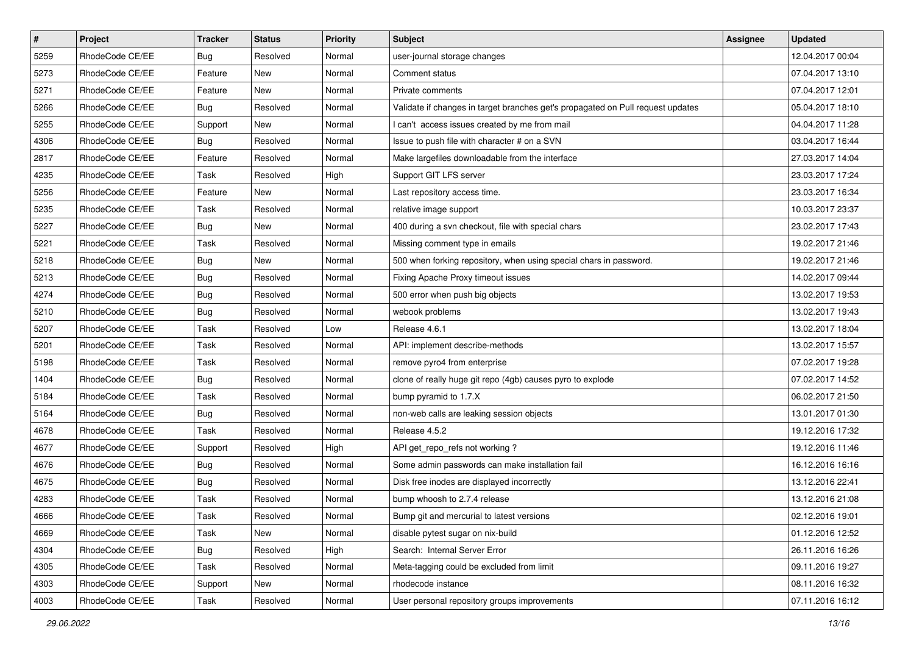| $\sharp$ | Project         | <b>Tracker</b> | <b>Status</b> | Priority | <b>Subject</b>                                                                  | <b>Assignee</b> | <b>Updated</b>   |
|----------|-----------------|----------------|---------------|----------|---------------------------------------------------------------------------------|-----------------|------------------|
| 5259     | RhodeCode CE/EE | Bug            | Resolved      | Normal   | user-journal storage changes                                                    |                 | 12.04.2017 00:04 |
| 5273     | RhodeCode CE/EE | Feature        | <b>New</b>    | Normal   | Comment status                                                                  |                 | 07.04.2017 13:10 |
| 5271     | RhodeCode CE/EE | Feature        | New           | Normal   | Private comments                                                                |                 | 07.04.2017 12:01 |
| 5266     | RhodeCode CE/EE | Bug            | Resolved      | Normal   | Validate if changes in target branches get's propagated on Pull request updates |                 | 05.04.2017 18:10 |
| 5255     | RhodeCode CE/EE | Support        | New           | Normal   | I can't access issues created by me from mail                                   |                 | 04.04.2017 11:28 |
| 4306     | RhodeCode CE/EE | Bug            | Resolved      | Normal   | Issue to push file with character # on a SVN                                    |                 | 03.04.2017 16:44 |
| 2817     | RhodeCode CE/EE | Feature        | Resolved      | Normal   | Make largefiles downloadable from the interface                                 |                 | 27.03.2017 14:04 |
| 4235     | RhodeCode CE/EE | Task           | Resolved      | High     | Support GIT LFS server                                                          |                 | 23.03.2017 17:24 |
| 5256     | RhodeCode CE/EE | Feature        | <b>New</b>    | Normal   | Last repository access time.                                                    |                 | 23.03.2017 16:34 |
| 5235     | RhodeCode CE/EE | Task           | Resolved      | Normal   | relative image support                                                          |                 | 10.03.2017 23:37 |
| 5227     | RhodeCode CE/EE | Bug            | <b>New</b>    | Normal   | 400 during a svn checkout, file with special chars                              |                 | 23.02.2017 17:43 |
| 5221     | RhodeCode CE/EE | Task           | Resolved      | Normal   | Missing comment type in emails                                                  |                 | 19.02.2017 21:46 |
| 5218     | RhodeCode CE/EE | Bug            | New           | Normal   | 500 when forking repository, when using special chars in password.              |                 | 19.02.2017 21:46 |
| 5213     | RhodeCode CE/EE | Bug            | Resolved      | Normal   | Fixing Apache Proxy timeout issues                                              |                 | 14.02.2017 09:44 |
| 4274     | RhodeCode CE/EE | Bug            | Resolved      | Normal   | 500 error when push big objects                                                 |                 | 13.02.2017 19:53 |
| 5210     | RhodeCode CE/EE | Bug            | Resolved      | Normal   | webook problems                                                                 |                 | 13.02.2017 19:43 |
| 5207     | RhodeCode CE/EE | Task           | Resolved      | Low      | Release 4.6.1                                                                   |                 | 13.02.2017 18:04 |
| 5201     | RhodeCode CE/EE | Task           | Resolved      | Normal   | API: implement describe-methods                                                 |                 | 13.02.2017 15:57 |
| 5198     | RhodeCode CE/EE | Task           | Resolved      | Normal   | remove pyro4 from enterprise                                                    |                 | 07.02.2017 19:28 |
| 1404     | RhodeCode CE/EE | Bug            | Resolved      | Normal   | clone of really huge git repo (4gb) causes pyro to explode                      |                 | 07.02.2017 14:52 |
| 5184     | RhodeCode CE/EE | Task           | Resolved      | Normal   | bump pyramid to 1.7.X                                                           |                 | 06.02.2017 21:50 |
| 5164     | RhodeCode CE/EE | Bug            | Resolved      | Normal   | non-web calls are leaking session objects                                       |                 | 13.01.2017 01:30 |
| 4678     | RhodeCode CE/EE | Task           | Resolved      | Normal   | Release 4.5.2                                                                   |                 | 19.12.2016 17:32 |
| 4677     | RhodeCode CE/EE | Support        | Resolved      | High     | API get_repo_refs not working?                                                  |                 | 19.12.2016 11:46 |
| 4676     | RhodeCode CE/EE | Bug            | Resolved      | Normal   | Some admin passwords can make installation fail                                 |                 | 16.12.2016 16:16 |
| 4675     | RhodeCode CE/EE | <b>Bug</b>     | Resolved      | Normal   | Disk free inodes are displayed incorrectly                                      |                 | 13.12.2016 22:41 |
| 4283     | RhodeCode CE/EE | Task           | Resolved      | Normal   | bump whoosh to 2.7.4 release                                                    |                 | 13.12.2016 21:08 |
| 4666     | RhodeCode CE/EE | Task           | Resolved      | Normal   | Bump git and mercurial to latest versions                                       |                 | 02.12.2016 19:01 |
| 4669     | RhodeCode CE/EE | Task           | New           | Normal   | disable pytest sugar on nix-build                                               |                 | 01.12.2016 12:52 |
| 4304     | RhodeCode CE/EE | Bug            | Resolved      | High     | Search: Internal Server Error                                                   |                 | 26.11.2016 16:26 |
| 4305     | RhodeCode CE/EE | Task           | Resolved      | Normal   | Meta-tagging could be excluded from limit                                       |                 | 09.11.2016 19:27 |
| 4303     | RhodeCode CE/EE | Support        | New           | Normal   | rhodecode instance                                                              |                 | 08.11.2016 16:32 |
| 4003     | RhodeCode CE/EE | Task           | Resolved      | Normal   | User personal repository groups improvements                                    |                 | 07.11.2016 16:12 |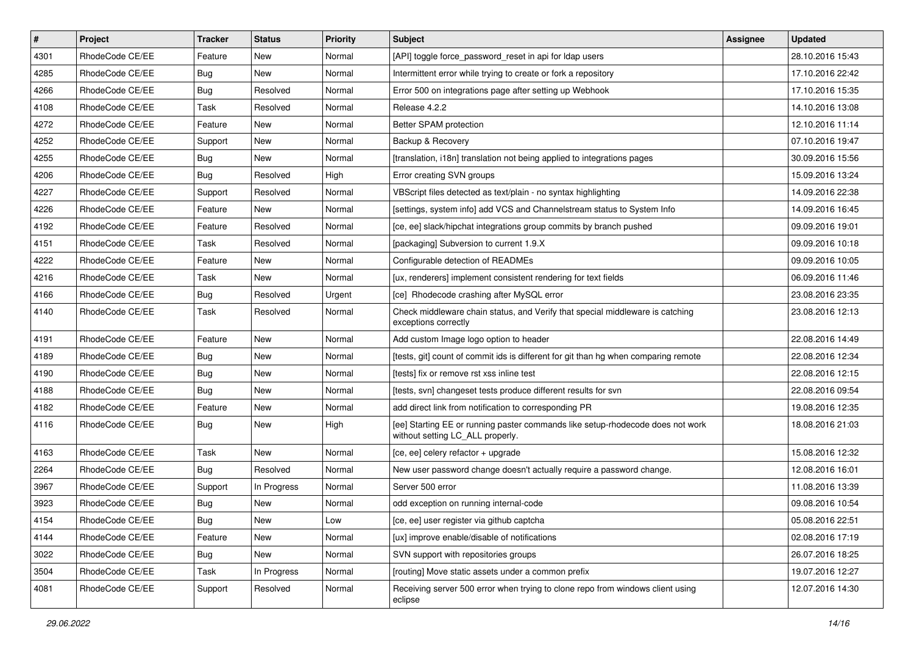| $\overline{\boldsymbol{H}}$ | Project         | <b>Tracker</b> | <b>Status</b> | Priority | Subject                                                                                                            | <b>Assignee</b> | <b>Updated</b>   |
|-----------------------------|-----------------|----------------|---------------|----------|--------------------------------------------------------------------------------------------------------------------|-----------------|------------------|
| 4301                        | RhodeCode CE/EE | Feature        | New           | Normal   | [API] toggle force password reset in api for Idap users                                                            |                 | 28.10.2016 15:43 |
| 4285                        | RhodeCode CE/EE | Bug            | <b>New</b>    | Normal   | Intermittent error while trying to create or fork a repository                                                     |                 | 17.10.2016 22:42 |
| 4266                        | RhodeCode CE/EE | Bug            | Resolved      | Normal   | Error 500 on integrations page after setting up Webhook                                                            |                 | 17.10.2016 15:35 |
| 4108                        | RhodeCode CE/EE | Task           | Resolved      | Normal   | Release 4.2.2                                                                                                      |                 | 14.10.2016 13:08 |
| 4272                        | RhodeCode CE/EE | Feature        | <b>New</b>    | Normal   | Better SPAM protection                                                                                             |                 | 12.10.2016 11:14 |
| 4252                        | RhodeCode CE/EE | Support        | New           | Normal   | Backup & Recovery                                                                                                  |                 | 07.10.2016 19:47 |
| 4255                        | RhodeCode CE/EE | Bug            | New           | Normal   | [translation, i18n] translation not being applied to integrations pages                                            |                 | 30.09.2016 15:56 |
| 4206                        | RhodeCode CE/EE | Bug            | Resolved      | High     | Error creating SVN groups                                                                                          |                 | 15.09.2016 13:24 |
| 4227                        | RhodeCode CE/EE | Support        | Resolved      | Normal   | VBScript files detected as text/plain - no syntax highlighting                                                     |                 | 14.09.2016 22:38 |
| 4226                        | RhodeCode CE/EE | Feature        | <b>New</b>    | Normal   | [settings, system info] add VCS and Channelstream status to System Info                                            |                 | 14.09.2016 16:45 |
| 4192                        | RhodeCode CE/EE | Feature        | Resolved      | Normal   | [ce, ee] slack/hipchat integrations group commits by branch pushed                                                 |                 | 09.09.2016 19:01 |
| 4151                        | RhodeCode CE/EE | Task           | Resolved      | Normal   | [packaging] Subversion to current 1.9.X                                                                            |                 | 09.09.2016 10:18 |
| 4222                        | RhodeCode CE/EE | Feature        | New           | Normal   | Configurable detection of READMEs                                                                                  |                 | 09.09.2016 10:05 |
| 4216                        | RhodeCode CE/EE | Task           | New           | Normal   | [ux, renderers] implement consistent rendering for text fields                                                     |                 | 06.09.2016 11:46 |
| 4166                        | RhodeCode CE/EE | Bug            | Resolved      | Urgent   | [ce] Rhodecode crashing after MySQL error                                                                          |                 | 23.08.2016 23:35 |
| 4140                        | RhodeCode CE/EE | Task           | Resolved      | Normal   | Check middleware chain status, and Verify that special middleware is catching<br>exceptions correctly              |                 | 23.08.2016 12:13 |
| 4191                        | RhodeCode CE/EE | Feature        | <b>New</b>    | Normal   | Add custom Image logo option to header                                                                             |                 | 22.08.2016 14:49 |
| 4189                        | RhodeCode CE/EE | <b>Bug</b>     | New           | Normal   | [tests, git] count of commit ids is different for git than hg when comparing remote                                |                 | 22.08.2016 12:34 |
| 4190                        | RhodeCode CE/EE | Bug            | New           | Normal   | [tests] fix or remove rst xss inline test                                                                          |                 | 22.08.2016 12:15 |
| 4188                        | RhodeCode CE/EE | Bug            | <b>New</b>    | Normal   | [tests, svn] changeset tests produce different results for svn                                                     |                 | 22.08.2016 09:54 |
| 4182                        | RhodeCode CE/EE | Feature        | <b>New</b>    | Normal   | add direct link from notification to corresponding PR                                                              |                 | 19.08.2016 12:35 |
| 4116                        | RhodeCode CE/EE | <b>Bug</b>     | New           | High     | [ee] Starting EE or running paster commands like setup-rhodecode does not work<br>without setting LC_ALL properly. |                 | 18.08.2016 21:03 |
| 4163                        | RhodeCode CE/EE | Task           | New           | Normal   | [ce, ee] celery refactor + upgrade                                                                                 |                 | 15.08.2016 12:32 |
| 2264                        | RhodeCode CE/EE | Bug            | Resolved      | Normal   | New user password change doesn't actually require a password change.                                               |                 | 12.08.2016 16:01 |
| 3967                        | RhodeCode CE/EE | Support        | In Progress   | Normal   | Server 500 error                                                                                                   |                 | 11.08.2016 13:39 |
| 3923                        | RhodeCode CE/EE | Bug            | New           | Normal   | odd exception on running internal-code                                                                             |                 | 09.08.2016 10:54 |
| 4154                        | RhodeCode CE/EE | Bug            | New           | Low      | [ce, ee] user register via github captcha                                                                          |                 | 05.08.2016 22:51 |
| 4144                        | RhodeCode CE/EE | Feature        | New           | Normal   | [ux] improve enable/disable of notifications                                                                       |                 | 02.08.2016 17:19 |
| 3022                        | RhodeCode CE/EE | Bug            | New           | Normal   | SVN support with repositories groups                                                                               |                 | 26.07.2016 18:25 |
| 3504                        | RhodeCode CE/EE | Task           | In Progress   | Normal   | [routing] Move static assets under a common prefix                                                                 |                 | 19.07.2016 12:27 |
| 4081                        | RhodeCode CE/EE | Support        | Resolved      | Normal   | Receiving server 500 error when trying to clone repo from windows client using<br>eclipse                          |                 | 12.07.2016 14:30 |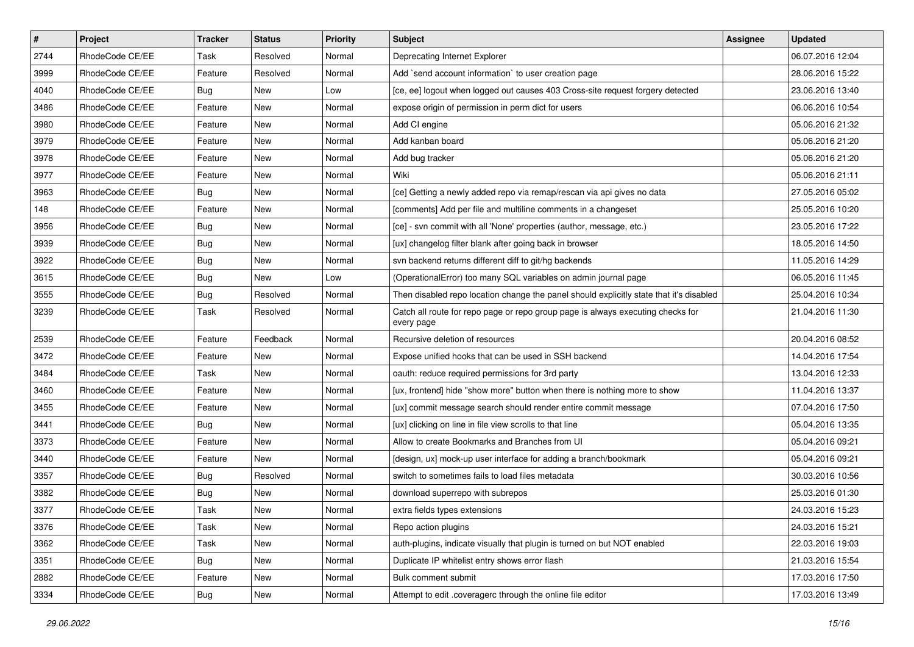| $\pmb{\#}$ | Project         | <b>Tracker</b> | <b>Status</b> | <b>Priority</b> | <b>Subject</b>                                                                                | <b>Assignee</b> | <b>Updated</b>   |
|------------|-----------------|----------------|---------------|-----------------|-----------------------------------------------------------------------------------------------|-----------------|------------------|
| 2744       | RhodeCode CE/EE | Task           | Resolved      | Normal          | Deprecating Internet Explorer                                                                 |                 | 06.07.2016 12:04 |
| 3999       | RhodeCode CE/EE | Feature        | Resolved      | Normal          | Add `send account information` to user creation page                                          |                 | 28.06.2016 15:22 |
| 4040       | RhodeCode CE/EE | Bug            | New           | Low             | [ce, ee] logout when logged out causes 403 Cross-site request forgery detected                |                 | 23.06.2016 13:40 |
| 3486       | RhodeCode CE/EE | Feature        | <b>New</b>    | Normal          | expose origin of permission in perm dict for users                                            |                 | 06.06.2016 10:54 |
| 3980       | RhodeCode CE/EE | Feature        | <b>New</b>    | Normal          | Add CI engine                                                                                 |                 | 05.06.2016 21:32 |
| 3979       | RhodeCode CE/EE | Feature        | New           | Normal          | Add kanban board                                                                              |                 | 05.06.2016 21:20 |
| 3978       | RhodeCode CE/EE | Feature        | New           | Normal          | Add bug tracker                                                                               |                 | 05.06.2016 21:20 |
| 3977       | RhodeCode CE/EE | Feature        | New           | Normal          | Wiki                                                                                          |                 | 05.06.2016 21:11 |
| 3963       | RhodeCode CE/EE | Bug            | <b>New</b>    | Normal          | [ce] Getting a newly added repo via remap/rescan via api gives no data                        |                 | 27.05.2016 05:02 |
| 148        | RhodeCode CE/EE | Feature        | <b>New</b>    | Normal          | [comments] Add per file and multiline comments in a changeset                                 |                 | 25.05.2016 10:20 |
| 3956       | RhodeCode CE/EE | Bug            | New           | Normal          | [ce] - svn commit with all 'None' properties (author, message, etc.)                          |                 | 23.05.2016 17:22 |
| 3939       | RhodeCode CE/EE | Bug            | New           | Normal          | [ux] changelog filter blank after going back in browser                                       |                 | 18.05.2016 14:50 |
| 3922       | RhodeCode CE/EE | Bug            | New           | Normal          | svn backend returns different diff to git/hg backends                                         |                 | 11.05.2016 14:29 |
| 3615       | RhodeCode CE/EE | Bug            | <b>New</b>    | Low             | (OperationalError) too many SQL variables on admin journal page                               |                 | 06.05.2016 11:45 |
| 3555       | RhodeCode CE/EE | Bug            | Resolved      | Normal          | Then disabled repo location change the panel should explicitly state that it's disabled       |                 | 25.04.2016 10:34 |
| 3239       | RhodeCode CE/EE | Task           | Resolved      | Normal          | Catch all route for repo page or repo group page is always executing checks for<br>every page |                 | 21.04.2016 11:30 |
| 2539       | RhodeCode CE/EE | Feature        | Feedback      | Normal          | Recursive deletion of resources                                                               |                 | 20.04.2016 08:52 |
| 3472       | RhodeCode CE/EE | Feature        | New           | Normal          | Expose unified hooks that can be used in SSH backend                                          |                 | 14.04.2016 17:54 |
| 3484       | RhodeCode CE/EE | Task           | New           | Normal          | oauth: reduce required permissions for 3rd party                                              |                 | 13.04.2016 12:33 |
| 3460       | RhodeCode CE/EE | Feature        | <b>New</b>    | Normal          | [ux, frontend] hide "show more" button when there is nothing more to show                     |                 | 11.04.2016 13:37 |
| 3455       | RhodeCode CE/EE | Feature        | <b>New</b>    | Normal          | [ux] commit message search should render entire commit message                                |                 | 07.04.2016 17:50 |
| 3441       | RhodeCode CE/EE | Bug            | <b>New</b>    | Normal          | [ux] clicking on line in file view scrolls to that line                                       |                 | 05.04.2016 13:35 |
| 3373       | RhodeCode CE/EE | Feature        | New           | Normal          | Allow to create Bookmarks and Branches from UI                                                |                 | 05.04.2016 09:21 |
| 3440       | RhodeCode CE/EE | Feature        | New           | Normal          | [design, ux] mock-up user interface for adding a branch/bookmark                              |                 | 05.04.2016 09:21 |
| 3357       | RhodeCode CE/EE | Bug            | Resolved      | Normal          | switch to sometimes fails to load files metadata                                              |                 | 30.03.2016 10:56 |
| 3382       | RhodeCode CE/EE | Bug            | New           | Normal          | download superrepo with subrepos                                                              |                 | 25.03.2016 01:30 |
| 3377       | RhodeCode CE/EE | Task           | New           | Normal          | extra fields types extensions                                                                 |                 | 24.03.2016 15:23 |
| 3376       | RhodeCode CE/EE | Task           | New           | Normal          | Repo action plugins                                                                           |                 | 24.03.2016 15:21 |
| 3362       | RhodeCode CE/EE | Task           | New           | Normal          | auth-plugins, indicate visually that plugin is turned on but NOT enabled                      |                 | 22.03.2016 19:03 |
| 3351       | RhodeCode CE/EE | <b>Bug</b>     | New           | Normal          | Duplicate IP whitelist entry shows error flash                                                |                 | 21.03.2016 15:54 |
| 2882       | RhodeCode CE/EE | Feature        | New           | Normal          | Bulk comment submit                                                                           |                 | 17.03.2016 17:50 |
| 3334       | RhodeCode CE/EE | Bug            | New           | Normal          | Attempt to edit .coveragerc through the online file editor                                    |                 | 17.03.2016 13:49 |